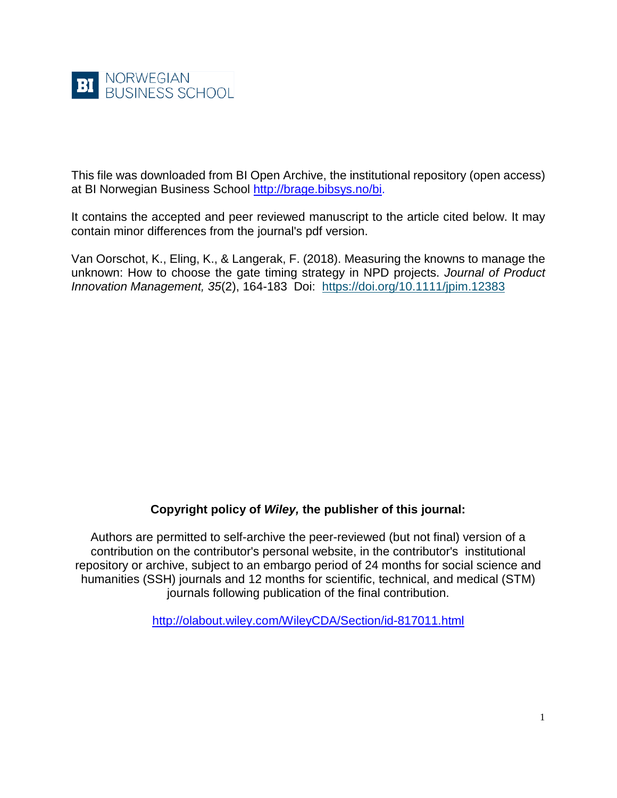

This file was downloaded from BI Open Archive, the institutional repository (open access) at BI Norwegian Business School [http://brage.bibsys.no/bi.](http://brage.bibsys.no/bi)

It contains the accepted and peer reviewed manuscript to the article cited below. It may contain minor differences from the journal's pdf version.

Van Oorschot, K., Eling, K., & Langerak, F. (2018). Measuring the knowns to manage the unknown: How to choose the gate timing strategy in NPD projects. *Journal of Product Innovation Management, 35*(2), 164-183 Doi: <https://doi.org/10.1111/jpim.12383>

# **Copyright policy of** *Wiley,* **the publisher of this journal:**

Authors are permitted to self-archive the peer-reviewed (but not final) version of a contribution on the contributor's personal website, in the contributor's institutional repository or archive, subject to an embargo period of 24 months for social science and humanities (SSH) journals and 12 months for scientific, technical, and medical (STM) journals following publication of the final contribution.

<http://olabout.wiley.com/WileyCDA/Section/id-817011.html>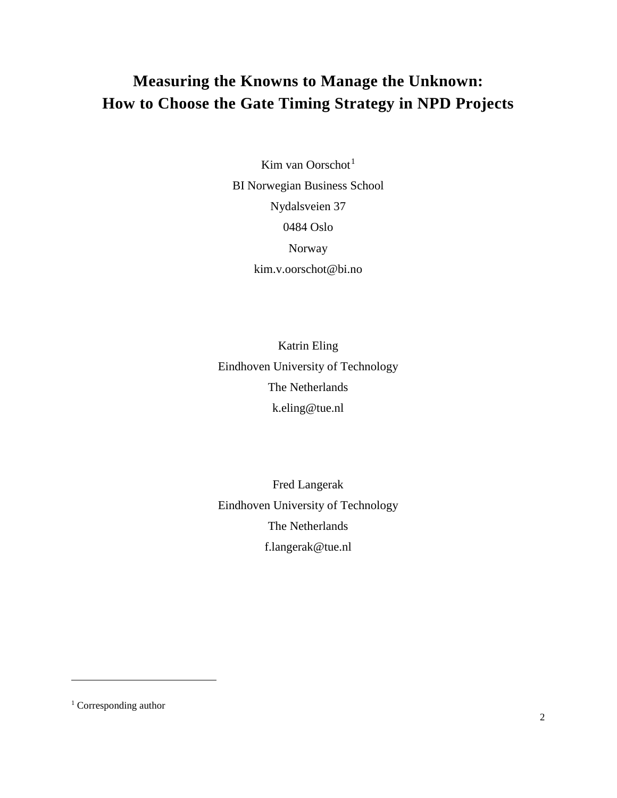# **Measuring the Knowns to Manage the Unknown: How to Choose the Gate Timing Strategy in NPD Projects**

Kim van Oorschot<sup>[1](#page-1-0)</sup> BI Norwegian Business School Nydalsveien 37 0484 Oslo Norway kim.v.oorschot@bi.no

Katrin Eling Eindhoven University of Technology The Netherlands k.eling@tue.nl

Fred Langerak Eindhoven University of Technology The Netherlands f.langerak@tue.nl

 $\overline{a}$ 

<span id="page-1-0"></span><sup>&</sup>lt;sup>1</sup> Corresponding author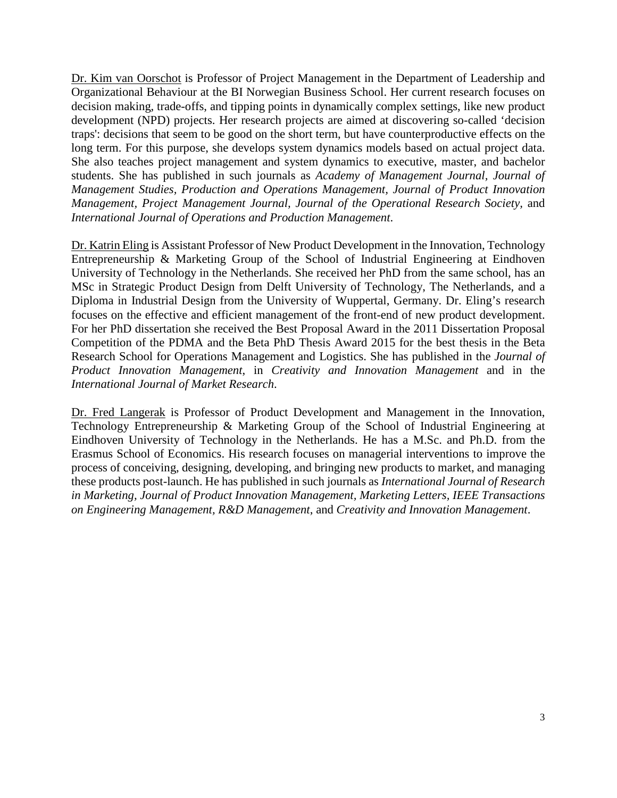Dr. Kim van Oorschot is Professor of Project Management in the Department of Leadership and Organizational Behaviour at the BI Norwegian Business School. Her current research focuses on decision making, trade-offs, and tipping points in dynamically complex settings, like new product development (NPD) projects. Her research projects are aimed at discovering so-called 'decision traps': decisions that seem to be good on the short term, but have counterproductive effects on the long term. For this purpose, she develops system dynamics models based on actual project data. She also teaches project management and system dynamics to executive, master, and bachelor students. She has published in such journals as *Academy of Management Journal, Journal of Management Studies, Production and Operations Management, Journal of Product Innovation Management, Project Management Journal, Journal of the Operational Research Society,* and *International Journal of Operations and Production Management*.

Dr. Katrin Eling is Assistant Professor of New Product Development in the Innovation, Technology Entrepreneurship & Marketing Group of the School of Industrial Engineering at Eindhoven University of Technology in the Netherlands. She received her PhD from the same school, has an MSc in Strategic Product Design from Delft University of Technology, The Netherlands, and a Diploma in Industrial Design from the University of Wuppertal, Germany. Dr. Eling's research focuses on the effective and efficient management of the front-end of new product development. For her PhD dissertation she received the Best Proposal Award in the 2011 Dissertation Proposal Competition of the PDMA and the Beta PhD Thesis Award 2015 for the best thesis in the Beta Research School for Operations Management and Logistics. She has published in the *Journal of Product Innovation Management*, in *Creativity and Innovation Management* and in the *International Journal of Market Research*.

Dr. Fred Langerak is Professor of Product Development and Management in the Innovation, Technology Entrepreneurship & Marketing Group of the School of Industrial Engineering at Eindhoven University of Technology in the Netherlands. He has a M.Sc. and Ph.D. from the Erasmus School of Economics. His research focuses on managerial interventions to improve the process of conceiving, designing, developing, and bringing new products to market, and managing these products post-launch. He has published in such journals as *International Journal of Research in Marketing, Journal of Product Innovation Management, Marketing Letters, IEEE Transactions on Engineering Management, R&D Management*, and *Creativity and Innovation Management*.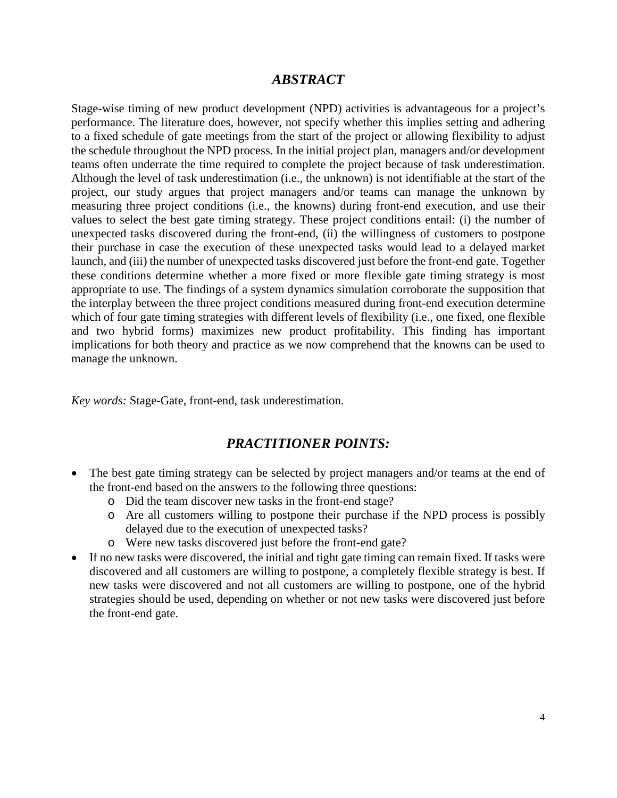# *ABSTRACT*

Stage-wise timing of new product development (NPD) activities is advantageous for a project's performance. The literature does, however, not specify whether this implies setting and adhering to a fixed schedule of gate meetings from the start of the project or allowing flexibility to adjust the schedule throughout the NPD process. In the initial project plan, managers and/or development teams often underrate the time required to complete the project because of task underestimation. Although the level of task underestimation (i.e., the unknown) is not identifiable at the start of the project, our study argues that project managers and/or teams can manage the unknown by measuring three project conditions (i.e., the knowns) during front-end execution, and use their values to select the best gate timing strategy. These project conditions entail: (i) the number of unexpected tasks discovered during the front-end, (ii) the willingness of customers to postpone their purchase in case the execution of these unexpected tasks would lead to a delayed market launch, and (iii) the number of unexpected tasks discovered just before the front-end gate. Together these conditions determine whether a more fixed or more flexible gate timing strategy is most appropriate to use. The findings of a system dynamics simulation corroborate the supposition that the interplay between the three project conditions measured during front-end execution determine which of four gate timing strategies with different levels of flexibility (i.e., one fixed, one flexible and two hybrid forms) maximizes new product profitability. This finding has important implications for both theory and practice as we now comprehend that the knowns can be used to manage the unknown.

*Key words:* Stage-Gate, front-end, task underestimation.

# *PRACTITIONER POINTS:*

- The best gate timing strategy can be selected by project managers and/or teams at the end of the front-end based on the answers to the following three questions:
	- o Did the team discover new tasks in the front-end stage?
	- o Are all customers willing to postpone their purchase if the NPD process is possibly delayed due to the execution of unexpected tasks?
	- o Were new tasks discovered just before the front-end gate?
- If no new tasks were discovered, the initial and tight gate timing can remain fixed. If tasks were discovered and all customers are willing to postpone, a completely flexible strategy is best. If new tasks were discovered and not all customers are willing to postpone, one of the hybrid strategies should be used, depending on whether or not new tasks were discovered just before the front-end gate.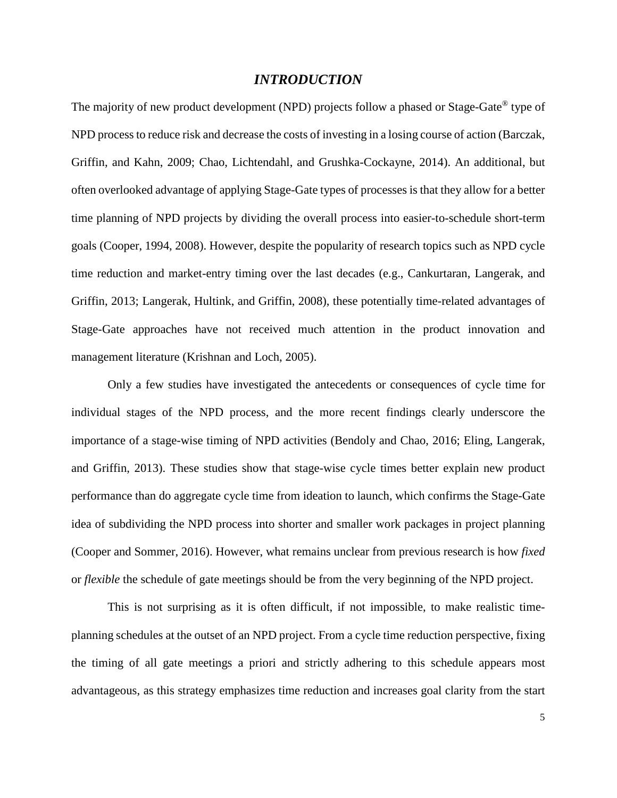# *INTRODUCTION*

The majority of new product development (NPD) projects follow a phased or Stage-Gate<sup>®</sup> type of NPD process to reduce risk and decrease the costs of investing in a losing course of action (Barczak, Griffin, and Kahn, 2009; Chao, Lichtendahl, and Grushka-Cockayne, 2014). An additional, but often overlooked advantage of applying Stage-Gate types of processes is that they allow for a better time planning of NPD projects by dividing the overall process into easier-to-schedule short-term goals (Cooper, 1994, 2008). However, despite the popularity of research topics such as NPD cycle time reduction and market-entry timing over the last decades (e.g., Cankurtaran, Langerak, and Griffin, 2013; Langerak, Hultink, and Griffin, 2008), these potentially time-related advantages of Stage-Gate approaches have not received much attention in the product innovation and management literature (Krishnan and Loch, 2005).

Only a few studies have investigated the antecedents or consequences of cycle time for individual stages of the NPD process, and the more recent findings clearly underscore the importance of a stage-wise timing of NPD activities (Bendoly and Chao, 2016; Eling, Langerak, and Griffin, 2013). These studies show that stage-wise cycle times better explain new product performance than do aggregate cycle time from ideation to launch, which confirms the Stage-Gate idea of subdividing the NPD process into shorter and smaller work packages in project planning (Cooper and Sommer, 2016). However, what remains unclear from previous research is how *fixed* or *flexible* the schedule of gate meetings should be from the very beginning of the NPD project.

This is not surprising as it is often difficult, if not impossible, to make realistic timeplanning schedules at the outset of an NPD project. From a cycle time reduction perspective, fixing the timing of all gate meetings a priori and strictly adhering to this schedule appears most advantageous, as this strategy emphasizes time reduction and increases goal clarity from the start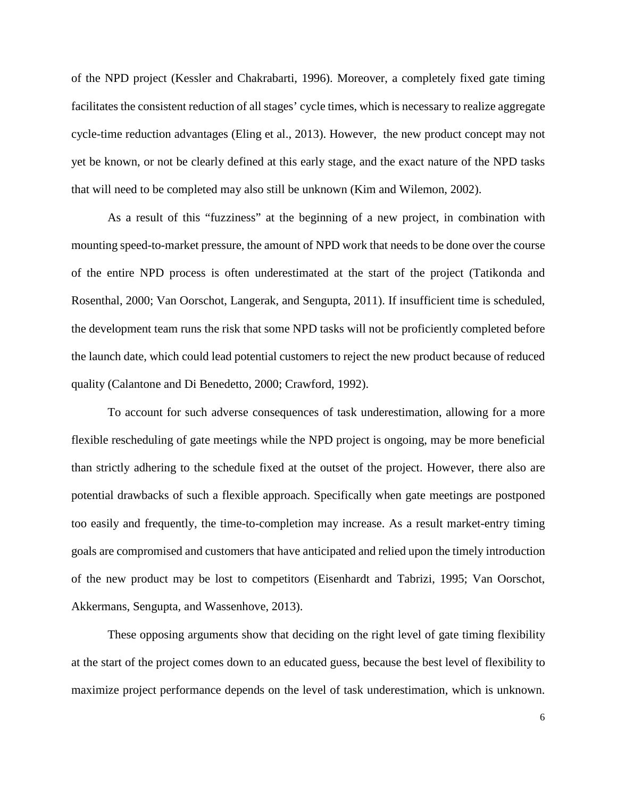of the NPD project (Kessler and Chakrabarti, 1996). Moreover, a completely fixed gate timing facilitates the consistent reduction of all stages' cycle times, which is necessary to realize aggregate cycle-time reduction advantages (Eling et al., 2013). However, the new product concept may not yet be known, or not be clearly defined at this early stage, and the exact nature of the NPD tasks that will need to be completed may also still be unknown (Kim and Wilemon, 2002).

As a result of this "fuzziness" at the beginning of a new project, in combination with mounting speed-to-market pressure, the amount of NPD work that needs to be done over the course of the entire NPD process is often underestimated at the start of the project (Tatikonda and Rosenthal, 2000; Van Oorschot, Langerak, and Sengupta, 2011). If insufficient time is scheduled, the development team runs the risk that some NPD tasks will not be proficiently completed before the launch date, which could lead potential customers to reject the new product because of reduced quality (Calantone and Di Benedetto, 2000; Crawford, 1992).

To account for such adverse consequences of task underestimation, allowing for a more flexible rescheduling of gate meetings while the NPD project is ongoing, may be more beneficial than strictly adhering to the schedule fixed at the outset of the project. However, there also are potential drawbacks of such a flexible approach. Specifically when gate meetings are postponed too easily and frequently, the time-to-completion may increase. As a result market-entry timing goals are compromised and customers that have anticipated and relied upon the timely introduction of the new product may be lost to competitors (Eisenhardt and Tabrizi, 1995; Van Oorschot, Akkermans, Sengupta, and Wassenhove, 2013).

These opposing arguments show that deciding on the right level of gate timing flexibility at the start of the project comes down to an educated guess, because the best level of flexibility to maximize project performance depends on the level of task underestimation, which is unknown.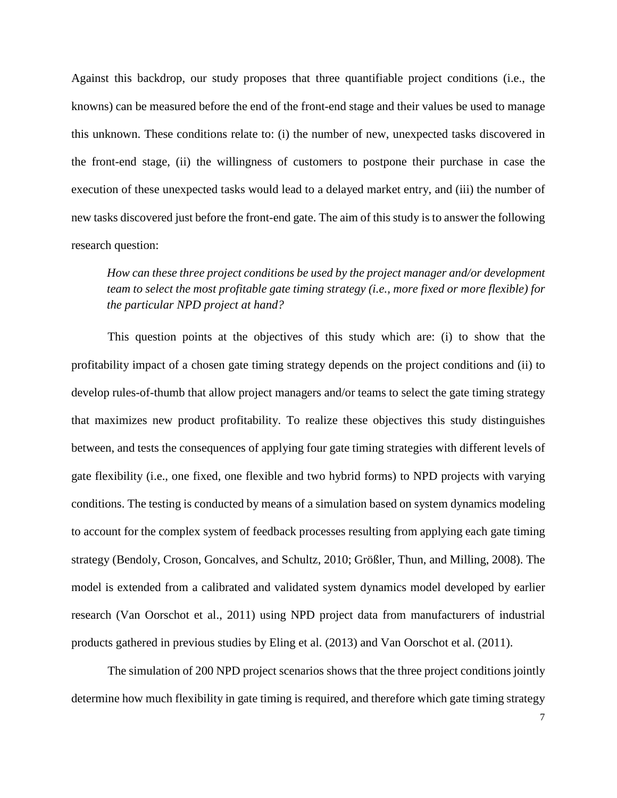Against this backdrop, our study proposes that three quantifiable project conditions (i.e., the knowns) can be measured before the end of the front-end stage and their values be used to manage this unknown. These conditions relate to: (i) the number of new, unexpected tasks discovered in the front-end stage, (ii) the willingness of customers to postpone their purchase in case the execution of these unexpected tasks would lead to a delayed market entry, and (iii) the number of new tasks discovered just before the front-end gate. The aim of this study is to answer the following research question:

# *How can these three project conditions be used by the project manager and/or development team to select the most profitable gate timing strategy (i.e., more fixed or more flexible) for the particular NPD project at hand?*

This question points at the objectives of this study which are: (i) to show that the profitability impact of a chosen gate timing strategy depends on the project conditions and (ii) to develop rules-of-thumb that allow project managers and/or teams to select the gate timing strategy that maximizes new product profitability. To realize these objectives this study distinguishes between, and tests the consequences of applying four gate timing strategies with different levels of gate flexibility (i.e., one fixed, one flexible and two hybrid forms) to NPD projects with varying conditions. The testing is conducted by means of a simulation based on system dynamics modeling to account for the complex system of feedback processes resulting from applying each gate timing strategy (Bendoly, Croson, Goncalves, and Schultz, 2010; Größler, Thun, and Milling, 2008). The model is extended from a calibrated and validated system dynamics model developed by earlier research (Van Oorschot et al., 2011) using NPD project data from manufacturers of industrial products gathered in previous studies by Eling et al. (2013) and Van Oorschot et al. (2011).

The simulation of 200 NPD project scenarios shows that the three project conditions jointly determine how much flexibility in gate timing is required, and therefore which gate timing strategy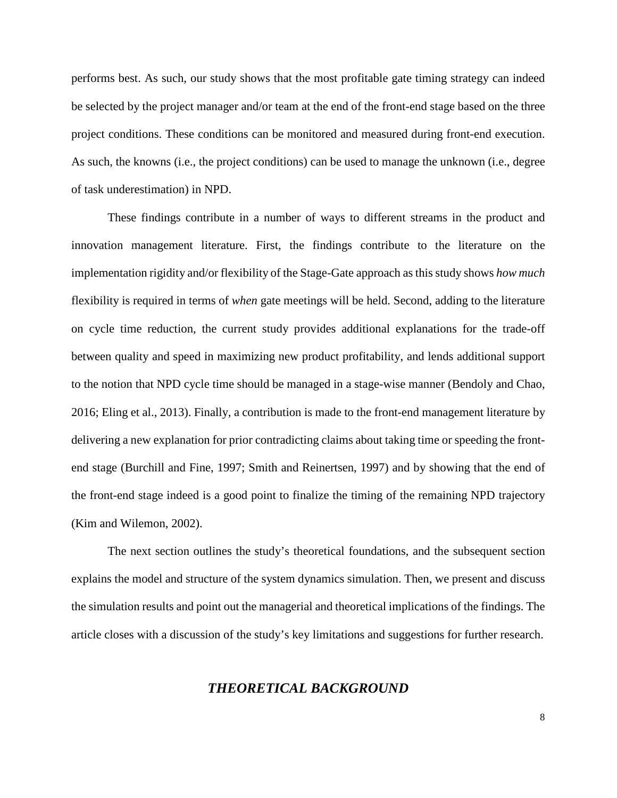performs best. As such, our study shows that the most profitable gate timing strategy can indeed be selected by the project manager and/or team at the end of the front-end stage based on the three project conditions. These conditions can be monitored and measured during front-end execution. As such, the knowns (i.e., the project conditions) can be used to manage the unknown (i.e., degree of task underestimation) in NPD.

These findings contribute in a number of ways to different streams in the product and innovation management literature. First, the findings contribute to the literature on the implementation rigidity and/or flexibility of the Stage-Gate approach as this study shows *how much* flexibility is required in terms of *when* gate meetings will be held. Second, adding to the literature on cycle time reduction, the current study provides additional explanations for the trade-off between quality and speed in maximizing new product profitability, and lends additional support to the notion that NPD cycle time should be managed in a stage-wise manner (Bendoly and Chao, 2016; Eling et al., 2013). Finally, a contribution is made to the front-end management literature by delivering a new explanation for prior contradicting claims about taking time or speeding the frontend stage (Burchill and Fine, 1997; Smith and Reinertsen, 1997) and by showing that the end of the front-end stage indeed is a good point to finalize the timing of the remaining NPD trajectory (Kim and Wilemon, 2002).

The next section outlines the study's theoretical foundations, and the subsequent section explains the model and structure of the system dynamics simulation. Then, we present and discuss the simulation results and point out the managerial and theoretical implications of the findings. The article closes with a discussion of the study's key limitations and suggestions for further research.

# *THEORETICAL BACKGROUND*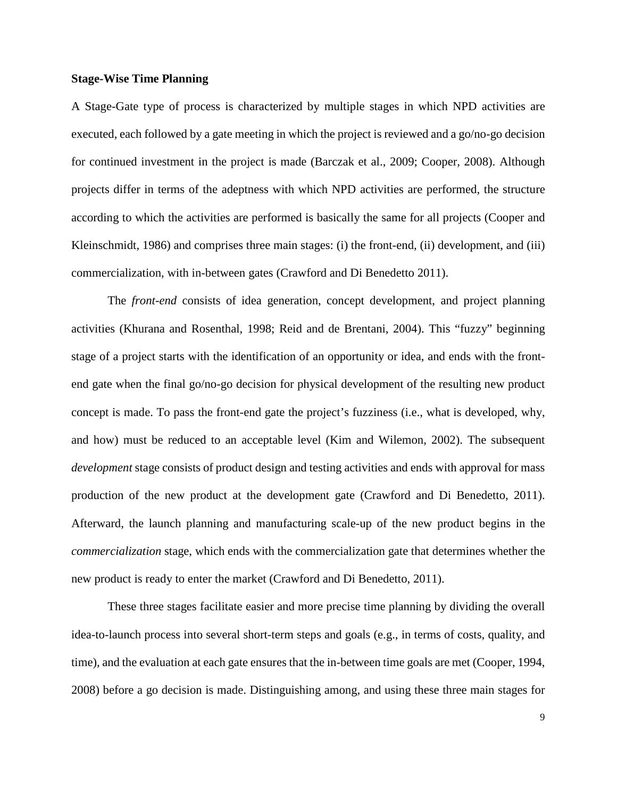#### **Stage-Wise Time Planning**

A Stage-Gate type of process is characterized by multiple stages in which NPD activities are executed, each followed by a gate meeting in which the project is reviewed and a go/no-go decision for continued investment in the project is made (Barczak et al., 2009; Cooper, 2008). Although projects differ in terms of the adeptness with which NPD activities are performed, the structure according to which the activities are performed is basically the same for all projects (Cooper and Kleinschmidt, 1986) and comprises three main stages: (i) the front-end, (ii) development, and (iii) commercialization, with in-between gates (Crawford and Di Benedetto 2011).

The *front-end* consists of idea generation, concept development, and project planning activities (Khurana and Rosenthal, 1998; Reid and de Brentani, 2004). This "fuzzy" beginning stage of a project starts with the identification of an opportunity or idea, and ends with the frontend gate when the final go/no-go decision for physical development of the resulting new product concept is made. To pass the front-end gate the project's fuzziness (i.e., what is developed, why, and how) must be reduced to an acceptable level (Kim and Wilemon, 2002). The subsequent *development* stage consists of product design and testing activities and ends with approval for mass production of the new product at the development gate (Crawford and Di Benedetto, 2011). Afterward, the launch planning and manufacturing scale-up of the new product begins in the *commercialization* stage, which ends with the commercialization gate that determines whether the new product is ready to enter the market (Crawford and Di Benedetto, 2011).

These three stages facilitate easier and more precise time planning by dividing the overall idea-to-launch process into several short-term steps and goals (e.g., in terms of costs, quality, and time), and the evaluation at each gate ensures that the in-between time goals are met (Cooper, 1994, 2008) before a go decision is made. Distinguishing among, and using these three main stages for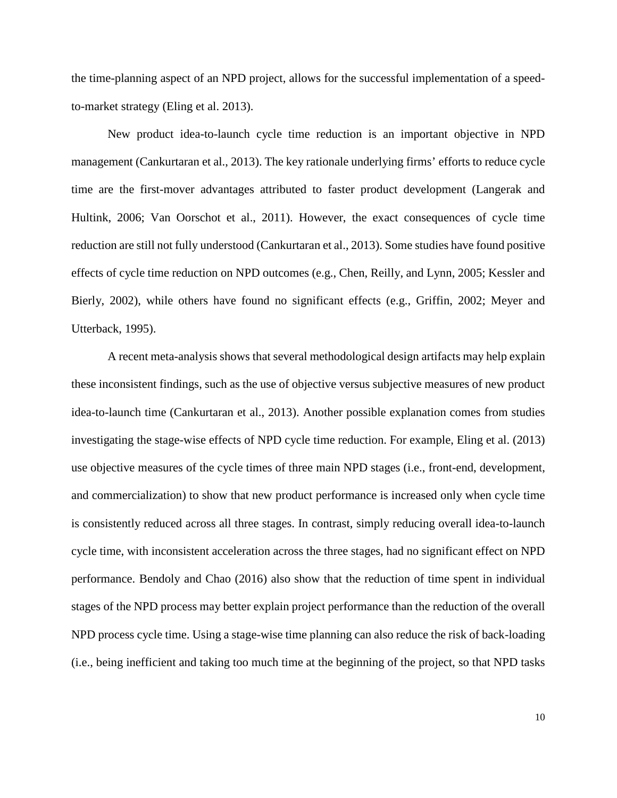the time-planning aspect of an NPD project, allows for the successful implementation of a speedto-market strategy (Eling et al. 2013).

New product idea-to-launch cycle time reduction is an important objective in NPD management (Cankurtaran et al., 2013). The key rationale underlying firms' efforts to reduce cycle time are the first-mover advantages attributed to faster product development (Langerak and Hultink, 2006; Van Oorschot et al., 2011). However, the exact consequences of cycle time reduction are still not fully understood (Cankurtaran et al., 2013). Some studies have found positive effects of cycle time reduction on NPD outcomes (e.g., Chen, Reilly, and Lynn, 2005; Kessler and Bierly, 2002), while others have found no significant effects (e.g., Griffin, 2002; Meyer and Utterback, 1995).

A recent meta-analysis shows that several methodological design artifacts may help explain these inconsistent findings, such as the use of objective versus subjective measures of new product idea-to-launch time (Cankurtaran et al., 2013). Another possible explanation comes from studies investigating the stage-wise effects of NPD cycle time reduction. For example, Eling et al. (2013) use objective measures of the cycle times of three main NPD stages (i.e., front-end, development, and commercialization) to show that new product performance is increased only when cycle time is consistently reduced across all three stages. In contrast, simply reducing overall idea-to-launch cycle time, with inconsistent acceleration across the three stages, had no significant effect on NPD performance. Bendoly and Chao (2016) also show that the reduction of time spent in individual stages of the NPD process may better explain project performance than the reduction of the overall NPD process cycle time. Using a stage-wise time planning can also reduce the risk of back-loading (i.e., being inefficient and taking too much time at the beginning of the project, so that NPD tasks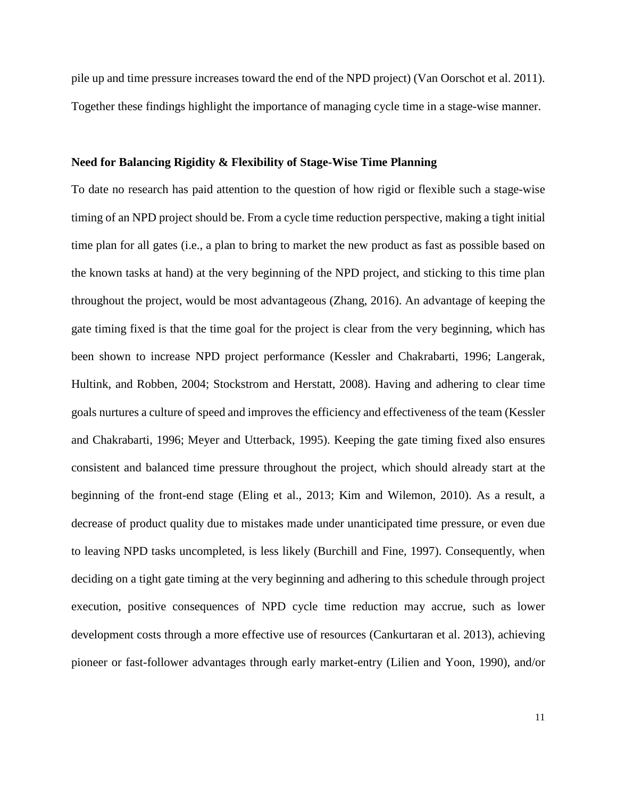pile up and time pressure increases toward the end of the NPD project) (Van Oorschot et al. 2011). Together these findings highlight the importance of managing cycle time in a stage-wise manner.

# **Need for Balancing Rigidity & Flexibility of Stage-Wise Time Planning**

To date no research has paid attention to the question of how rigid or flexible such a stage-wise timing of an NPD project should be. From a cycle time reduction perspective, making a tight initial time plan for all gates (i.e., a plan to bring to market the new product as fast as possible based on the known tasks at hand) at the very beginning of the NPD project, and sticking to this time plan throughout the project, would be most advantageous (Zhang, 2016). An advantage of keeping the gate timing fixed is that the time goal for the project is clear from the very beginning, which has been shown to increase NPD project performance (Kessler and Chakrabarti, 1996; Langerak, Hultink, and Robben, 2004; Stockstrom and Herstatt, 2008). Having and adhering to clear time goals nurtures a culture of speed and improves the efficiency and effectiveness of the team (Kessler and Chakrabarti, 1996; Meyer and Utterback, 1995). Keeping the gate timing fixed also ensures consistent and balanced time pressure throughout the project, which should already start at the beginning of the front-end stage (Eling et al., 2013; Kim and Wilemon, 2010). As a result, a decrease of product quality due to mistakes made under unanticipated time pressure, or even due to leaving NPD tasks uncompleted, is less likely (Burchill and Fine, 1997). Consequently, when deciding on a tight gate timing at the very beginning and adhering to this schedule through project execution, positive consequences of NPD cycle time reduction may accrue, such as lower development costs through a more effective use of resources (Cankurtaran et al. 2013), achieving pioneer or fast-follower advantages through early market-entry (Lilien and Yoon, 1990), and/or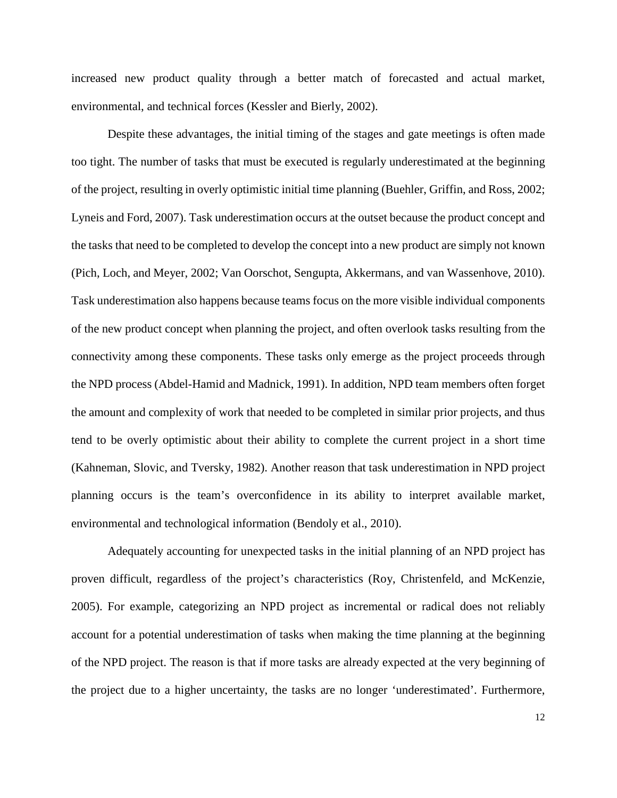increased new product quality through a better match of forecasted and actual market, environmental, and technical forces (Kessler and Bierly, 2002).

Despite these advantages, the initial timing of the stages and gate meetings is often made too tight. The number of tasks that must be executed is regularly underestimated at the beginning of the project, resulting in overly optimistic initial time planning (Buehler, Griffin, and Ross, 2002; Lyneis and Ford, 2007). Task underestimation occurs at the outset because the product concept and the tasks that need to be completed to develop the concept into a new product are simply not known (Pich, Loch, and Meyer, 2002; Van Oorschot, Sengupta, Akkermans, and van Wassenhove, 2010). Task underestimation also happens because teams focus on the more visible individual components of the new product concept when planning the project, and often overlook tasks resulting from the connectivity among these components. These tasks only emerge as the project proceeds through the NPD process (Abdel-Hamid and Madnick, 1991). In addition, NPD team members often forget the amount and complexity of work that needed to be completed in similar prior projects, and thus tend to be overly optimistic about their ability to complete the current project in a short time (Kahneman, Slovic, and Tversky, 1982). Another reason that task underestimation in NPD project planning occurs is the team's overconfidence in its ability to interpret available market, environmental and technological information (Bendoly et al., 2010).

Adequately accounting for unexpected tasks in the initial planning of an NPD project has proven difficult, regardless of the project's characteristics (Roy, Christenfeld, and McKenzie, 2005). For example, categorizing an NPD project as incremental or radical does not reliably account for a potential underestimation of tasks when making the time planning at the beginning of the NPD project. The reason is that if more tasks are already expected at the very beginning of the project due to a higher uncertainty, the tasks are no longer 'underestimated'. Furthermore,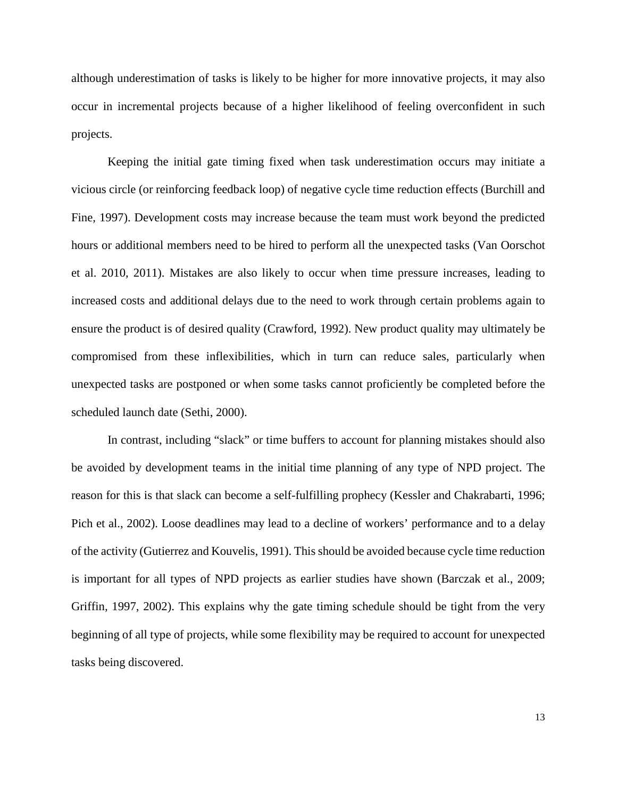although underestimation of tasks is likely to be higher for more innovative projects, it may also occur in incremental projects because of a higher likelihood of feeling overconfident in such projects.

Keeping the initial gate timing fixed when task underestimation occurs may initiate a vicious circle (or reinforcing feedback loop) of negative cycle time reduction effects (Burchill and Fine, 1997). Development costs may increase because the team must work beyond the predicted hours or additional members need to be hired to perform all the unexpected tasks (Van Oorschot et al. 2010, 2011). Mistakes are also likely to occur when time pressure increases, leading to increased costs and additional delays due to the need to work through certain problems again to ensure the product is of desired quality (Crawford, 1992). New product quality may ultimately be compromised from these inflexibilities, which in turn can reduce sales, particularly when unexpected tasks are postponed or when some tasks cannot proficiently be completed before the scheduled launch date (Sethi, 2000).

In contrast, including "slack" or time buffers to account for planning mistakes should also be avoided by development teams in the initial time planning of any type of NPD project. The reason for this is that slack can become a self-fulfilling prophecy (Kessler and Chakrabarti, 1996; Pich et al., 2002). Loose deadlines may lead to a decline of workers' performance and to a delay of the activity (Gutierrez and Kouvelis, 1991). This should be avoided because cycle time reduction is important for all types of NPD projects as earlier studies have shown (Barczak et al., 2009; Griffin, 1997, 2002). This explains why the gate timing schedule should be tight from the very beginning of all type of projects, while some flexibility may be required to account for unexpected tasks being discovered.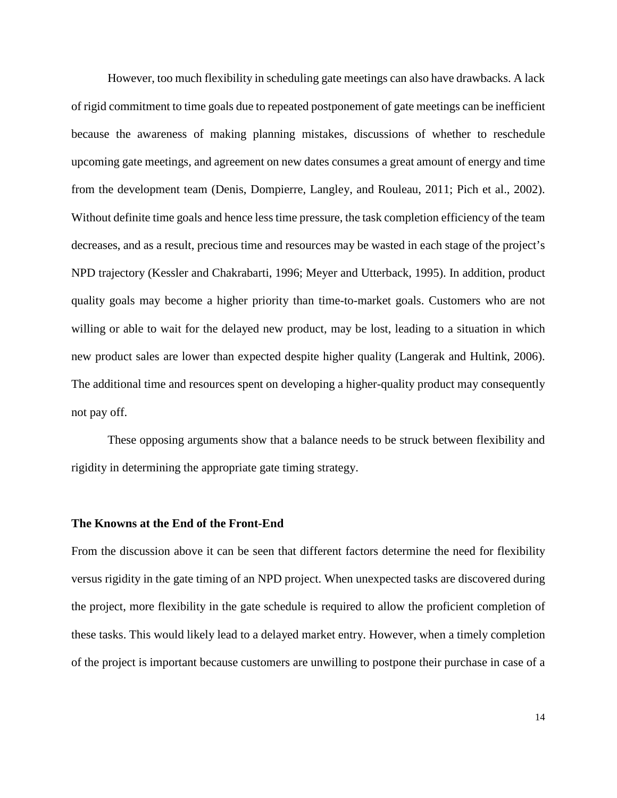However, too much flexibility in scheduling gate meetings can also have drawbacks. A lack of rigid commitment to time goals due to repeated postponement of gate meetings can be inefficient because the awareness of making planning mistakes, discussions of whether to reschedule upcoming gate meetings, and agreement on new dates consumes a great amount of energy and time from the development team (Denis, Dompierre, Langley, and Rouleau, 2011; Pich et al., 2002). Without definite time goals and hence less time pressure, the task completion efficiency of the team decreases, and as a result, precious time and resources may be wasted in each stage of the project's NPD trajectory (Kessler and Chakrabarti, 1996; Meyer and Utterback, 1995). In addition, product quality goals may become a higher priority than time-to-market goals. Customers who are not willing or able to wait for the delayed new product, may be lost, leading to a situation in which new product sales are lower than expected despite higher quality (Langerak and Hultink, 2006). The additional time and resources spent on developing a higher-quality product may consequently not pay off.

These opposing arguments show that a balance needs to be struck between flexibility and rigidity in determining the appropriate gate timing strategy.

### **The Knowns at the End of the Front-End**

From the discussion above it can be seen that different factors determine the need for flexibility versus rigidity in the gate timing of an NPD project. When unexpected tasks are discovered during the project, more flexibility in the gate schedule is required to allow the proficient completion of these tasks. This would likely lead to a delayed market entry. However, when a timely completion of the project is important because customers are unwilling to postpone their purchase in case of a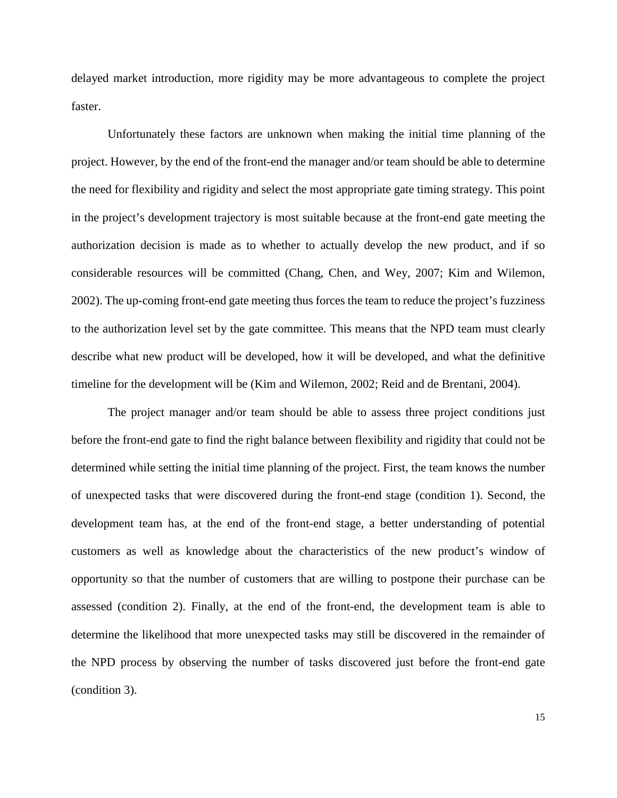delayed market introduction, more rigidity may be more advantageous to complete the project faster.

Unfortunately these factors are unknown when making the initial time planning of the project. However, by the end of the front-end the manager and/or team should be able to determine the need for flexibility and rigidity and select the most appropriate gate timing strategy. This point in the project's development trajectory is most suitable because at the front-end gate meeting the authorization decision is made as to whether to actually develop the new product, and if so considerable resources will be committed (Chang, Chen, and Wey, 2007; Kim and Wilemon, 2002). The up-coming front-end gate meeting thus forces the team to reduce the project's fuzziness to the authorization level set by the gate committee. This means that the NPD team must clearly describe what new product will be developed, how it will be developed, and what the definitive timeline for the development will be (Kim and Wilemon, 2002; Reid and de Brentani, 2004).

The project manager and/or team should be able to assess three project conditions just before the front-end gate to find the right balance between flexibility and rigidity that could not be determined while setting the initial time planning of the project. First, the team knows the number of unexpected tasks that were discovered during the front-end stage (condition 1). Second, the development team has, at the end of the front-end stage, a better understanding of potential customers as well as knowledge about the characteristics of the new product's window of opportunity so that the number of customers that are willing to postpone their purchase can be assessed (condition 2). Finally, at the end of the front-end, the development team is able to determine the likelihood that more unexpected tasks may still be discovered in the remainder of the NPD process by observing the number of tasks discovered just before the front-end gate (condition 3).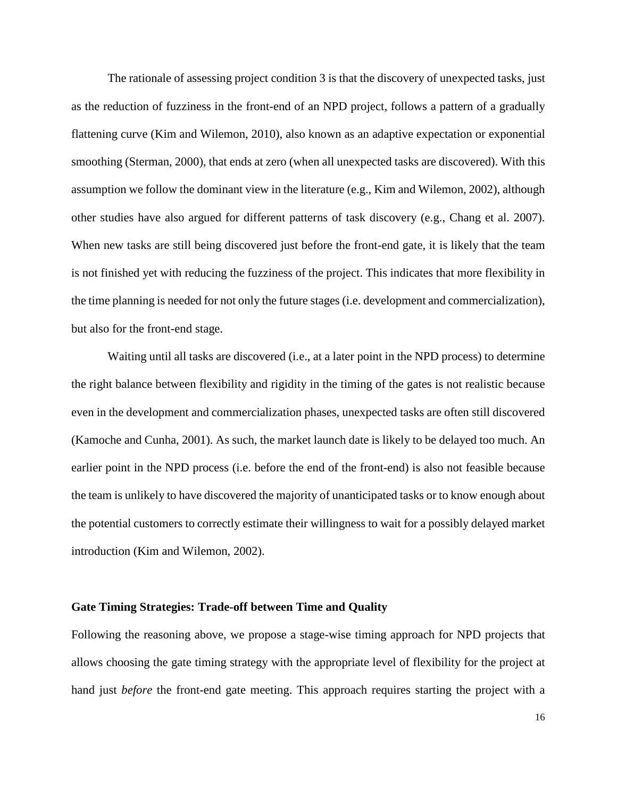The rationale of assessing project condition 3 is that the discovery of unexpected tasks, just as the reduction of fuzziness in the front-end of an NPD project, follows a pattern of a gradually flattening curve (Kim and Wilemon, 2010), also known as an adaptive expectation or exponential smoothing (Sterman, 2000), that ends at zero (when all unexpected tasks are discovered). With this assumption we follow the dominant view in the literature (e.g., Kim and Wilemon, 2002), although other studies have also argued for different patterns of task discovery (e.g., Chang et al. 2007). When new tasks are still being discovered just before the front-end gate, it is likely that the team is not finished yet with reducing the fuzziness of the project. This indicates that more flexibility in the time planning is needed for not only the future stages (i.e. development and commercialization), but also for the front-end stage.

Waiting until all tasks are discovered (i.e., at a later point in the NPD process) to determine the right balance between flexibility and rigidity in the timing of the gates is not realistic because even in the development and commercialization phases, unexpected tasks are often still discovered (Kamoche and Cunha, 2001). As such, the market launch date is likely to be delayed too much. An earlier point in the NPD process (i.e. before the end of the front-end) is also not feasible because the team is unlikely to have discovered the majority of unanticipated tasks or to know enough about the potential customers to correctly estimate their willingness to wait for a possibly delayed market introduction (Kim and Wilemon, 2002).

#### **Gate Timing Strategies: Trade-off between Time and Quality**

Following the reasoning above, we propose a stage-wise timing approach for NPD projects that allows choosing the gate timing strategy with the appropriate level of flexibility for the project at hand just *before* the front-end gate meeting. This approach requires starting the project with a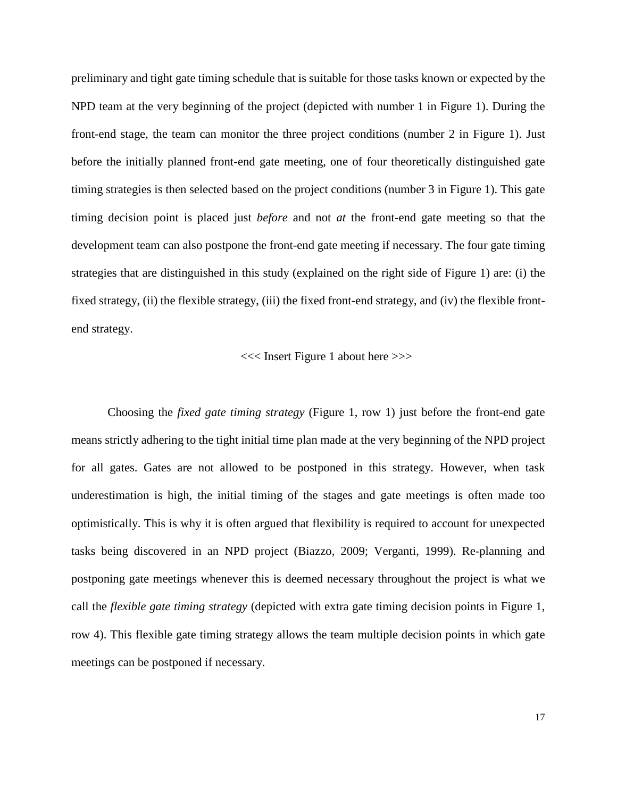preliminary and tight gate timing schedule that is suitable for those tasks known or expected by the NPD team at the very beginning of the project (depicted with number 1 in Figure 1). During the front-end stage, the team can monitor the three project conditions (number 2 in Figure 1). Just before the initially planned front-end gate meeting, one of four theoretically distinguished gate timing strategies is then selected based on the project conditions (number 3 in Figure 1). This gate timing decision point is placed just *before* and not *at* the front-end gate meeting so that the development team can also postpone the front-end gate meeting if necessary. The four gate timing strategies that are distinguished in this study (explained on the right side of Figure 1) are: (i) the fixed strategy, (ii) the flexible strategy, (iii) the fixed front-end strategy, and (iv) the flexible frontend strategy.

#### <<< Insert Figure 1 about here >>>

Choosing the *fixed gate timing strategy* (Figure 1, row 1) just before the front-end gate means strictly adhering to the tight initial time plan made at the very beginning of the NPD project for all gates. Gates are not allowed to be postponed in this strategy. However, when task underestimation is high, the initial timing of the stages and gate meetings is often made too optimistically. This is why it is often argued that flexibility is required to account for unexpected tasks being discovered in an NPD project (Biazzo, 2009; Verganti, 1999). Re-planning and postponing gate meetings whenever this is deemed necessary throughout the project is what we call the *flexible gate timing strategy* (depicted with extra gate timing decision points in Figure 1, row 4). This flexible gate timing strategy allows the team multiple decision points in which gate meetings can be postponed if necessary.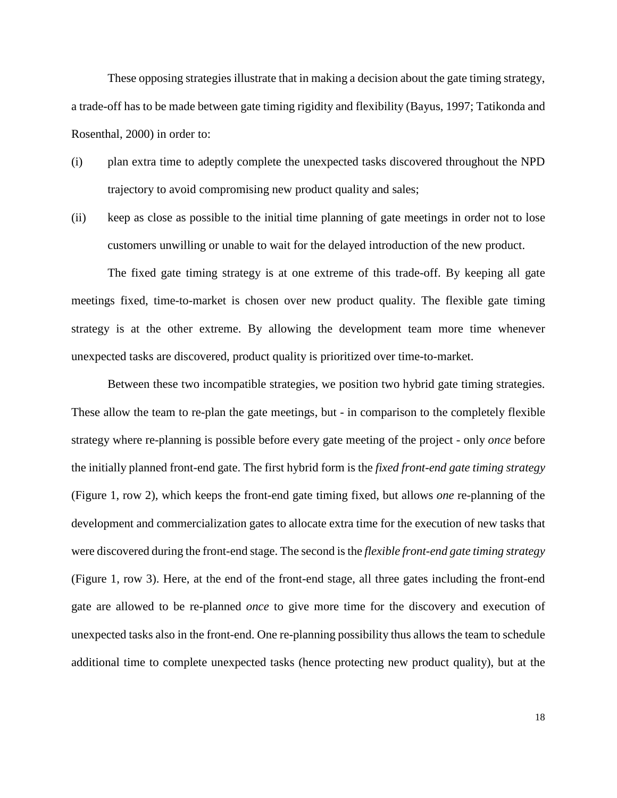These opposing strategies illustrate that in making a decision about the gate timing strategy, a trade-off has to be made between gate timing rigidity and flexibility (Bayus, 1997; Tatikonda and Rosenthal, 2000) in order to:

- (i) plan extra time to adeptly complete the unexpected tasks discovered throughout the NPD trajectory to avoid compromising new product quality and sales;
- (ii) keep as close as possible to the initial time planning of gate meetings in order not to lose customers unwilling or unable to wait for the delayed introduction of the new product.

The fixed gate timing strategy is at one extreme of this trade-off. By keeping all gate meetings fixed, time-to-market is chosen over new product quality. The flexible gate timing strategy is at the other extreme. By allowing the development team more time whenever unexpected tasks are discovered, product quality is prioritized over time-to-market.

Between these two incompatible strategies, we position two hybrid gate timing strategies. These allow the team to re-plan the gate meetings, but - in comparison to the completely flexible strategy where re-planning is possible before every gate meeting of the project - only *once* before the initially planned front-end gate. The first hybrid form is the *fixed front-end gate timing strategy* (Figure 1, row 2), which keeps the front-end gate timing fixed, but allows *one* re-planning of the development and commercialization gates to allocate extra time for the execution of new tasks that were discovered during the front-end stage. The second is the *flexible front-end gate timing strategy* (Figure 1, row 3). Here, at the end of the front-end stage, all three gates including the front-end gate are allowed to be re-planned *once* to give more time for the discovery and execution of unexpected tasks also in the front-end. One re-planning possibility thus allows the team to schedule additional time to complete unexpected tasks (hence protecting new product quality), but at the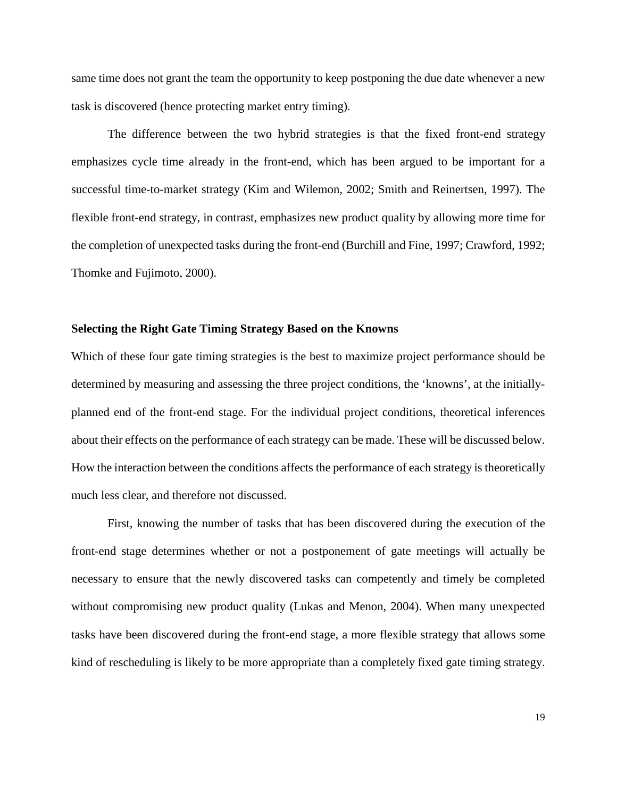same time does not grant the team the opportunity to keep postponing the due date whenever a new task is discovered (hence protecting market entry timing).

The difference between the two hybrid strategies is that the fixed front-end strategy emphasizes cycle time already in the front-end, which has been argued to be important for a successful time-to-market strategy (Kim and Wilemon, 2002; Smith and Reinertsen, 1997). The flexible front-end strategy, in contrast, emphasizes new product quality by allowing more time for the completion of unexpected tasks during the front-end (Burchill and Fine, 1997; Crawford, 1992; Thomke and Fujimoto, 2000).

#### **Selecting the Right Gate Timing Strategy Based on the Knowns**

Which of these four gate timing strategies is the best to maximize project performance should be determined by measuring and assessing the three project conditions, the 'knowns', at the initiallyplanned end of the front-end stage. For the individual project conditions, theoretical inferences about their effects on the performance of each strategy can be made. These will be discussed below. How the interaction between the conditions affects the performance of each strategy is theoretically much less clear, and therefore not discussed.

First, knowing the number of tasks that has been discovered during the execution of the front-end stage determines whether or not a postponement of gate meetings will actually be necessary to ensure that the newly discovered tasks can competently and timely be completed without compromising new product quality (Lukas and Menon, 2004). When many unexpected tasks have been discovered during the front-end stage, a more flexible strategy that allows some kind of rescheduling is likely to be more appropriate than a completely fixed gate timing strategy.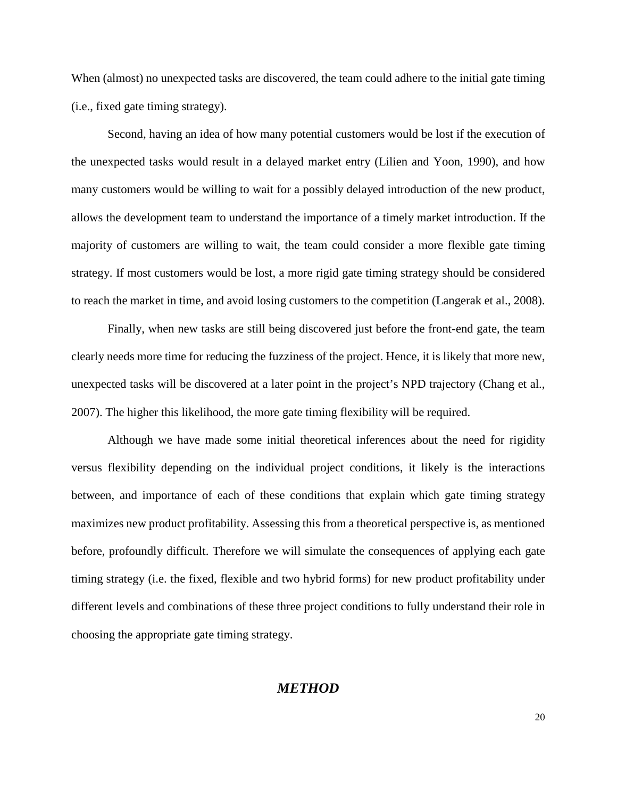When (almost) no unexpected tasks are discovered, the team could adhere to the initial gate timing (i.e., fixed gate timing strategy).

Second, having an idea of how many potential customers would be lost if the execution of the unexpected tasks would result in a delayed market entry (Lilien and Yoon, 1990), and how many customers would be willing to wait for a possibly delayed introduction of the new product, allows the development team to understand the importance of a timely market introduction. If the majority of customers are willing to wait, the team could consider a more flexible gate timing strategy. If most customers would be lost, a more rigid gate timing strategy should be considered to reach the market in time, and avoid losing customers to the competition (Langerak et al., 2008).

Finally, when new tasks are still being discovered just before the front-end gate, the team clearly needs more time for reducing the fuzziness of the project. Hence, it is likely that more new, unexpected tasks will be discovered at a later point in the project's NPD trajectory (Chang et al., 2007). The higher this likelihood, the more gate timing flexibility will be required.

Although we have made some initial theoretical inferences about the need for rigidity versus flexibility depending on the individual project conditions, it likely is the interactions between, and importance of each of these conditions that explain which gate timing strategy maximizes new product profitability. Assessing this from a theoretical perspective is, as mentioned before, profoundly difficult. Therefore we will simulate the consequences of applying each gate timing strategy (i.e. the fixed, flexible and two hybrid forms) for new product profitability under different levels and combinations of these three project conditions to fully understand their role in choosing the appropriate gate timing strategy.

# *METHOD*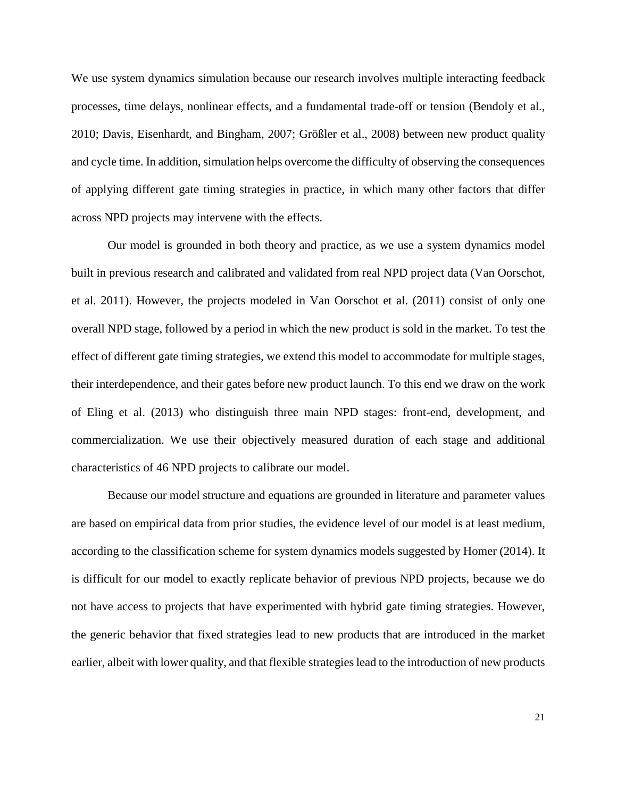We use system dynamics simulation because our research involves multiple interacting feedback processes, time delays, nonlinear effects, and a fundamental trade-off or tension (Bendoly et al., 2010; Davis, Eisenhardt, and Bingham, 2007; Größler et al., 2008) between new product quality and cycle time. In addition, simulation helps overcome the difficulty of observing the consequences of applying different gate timing strategies in practice, in which many other factors that differ across NPD projects may intervene with the effects.

Our model is grounded in both theory and practice, as we use a system dynamics model built in previous research and calibrated and validated from real NPD project data (Van Oorschot, et al. 2011). However, the projects modeled in Van Oorschot et al. (2011) consist of only one overall NPD stage, followed by a period in which the new product is sold in the market. To test the effect of different gate timing strategies, we extend this model to accommodate for multiple stages, their interdependence, and their gates before new product launch. To this end we draw on the work of Eling et al. (2013) who distinguish three main NPD stages: front-end, development, and commercialization. We use their objectively measured duration of each stage and additional characteristics of 46 NPD projects to calibrate our model.

Because our model structure and equations are grounded in literature and parameter values are based on empirical data from prior studies, the evidence level of our model is at least medium, according to the classification scheme for system dynamics models suggested by Homer (2014). It is difficult for our model to exactly replicate behavior of previous NPD projects, because we do not have access to projects that have experimented with hybrid gate timing strategies. However, the generic behavior that fixed strategies lead to new products that are introduced in the market earlier, albeit with lower quality, and that flexible strategies lead to the introduction of new products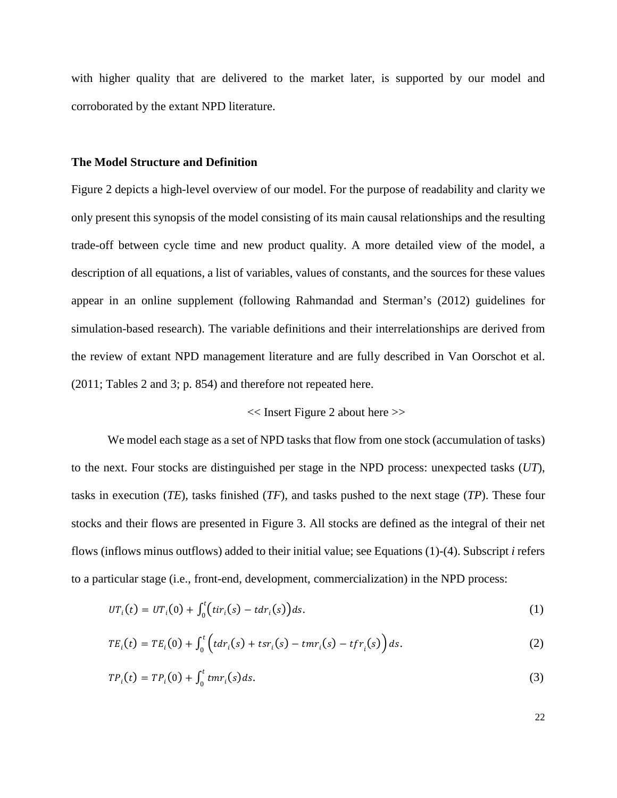with higher quality that are delivered to the market later, is supported by our model and corroborated by the extant NPD literature.

#### **The Model Structure and Definition**

Figure 2 depicts a high-level overview of our model. For the purpose of readability and clarity we only present this synopsis of the model consisting of its main causal relationships and the resulting trade-off between cycle time and new product quality. A more detailed view of the model, a description of all equations, a list of variables, values of constants, and the sources for these values appear in an online supplement (following Rahmandad and Sterman's (2012) guidelines for simulation-based research). The variable definitions and their interrelationships are derived from the review of extant NPD management literature and are fully described in Van Oorschot et al. (2011; Tables 2 and 3; p. 854) and therefore not repeated here.

#### << Insert Figure 2 about here >>

We model each stage as a set of NPD tasks that flow from one stock (accumulation of tasks) to the next. Four stocks are distinguished per stage in the NPD process: unexpected tasks (*UT*), tasks in execution (*TE*), tasks finished (*TF*), and tasks pushed to the next stage (*TP*). These four stocks and their flows are presented in Figure 3. All stocks are defined as the integral of their net flows (inflows minus outflows) added to their initial value; see Equations (1)-(4). Subscript *i* refers to a particular stage (i.e., front-end, development, commercialization) in the NPD process:

$$
UT_i(t) = UT_i(0) + \int_0^t \bigl( tir_i(s) - t dr_i(s)\bigr) ds. \tag{1}
$$

$$
TE_i(t) = TE_i(0) + \int_0^t \left(t dr_i(s) + t s r_i(s) - t m r_i(s) - t f r_i(s)\right) ds.
$$
 (2)

$$
TP_i(t) = TP_i(0) + \int_0^t tmr_i(s)ds.
$$
\n
$$
(3)
$$

22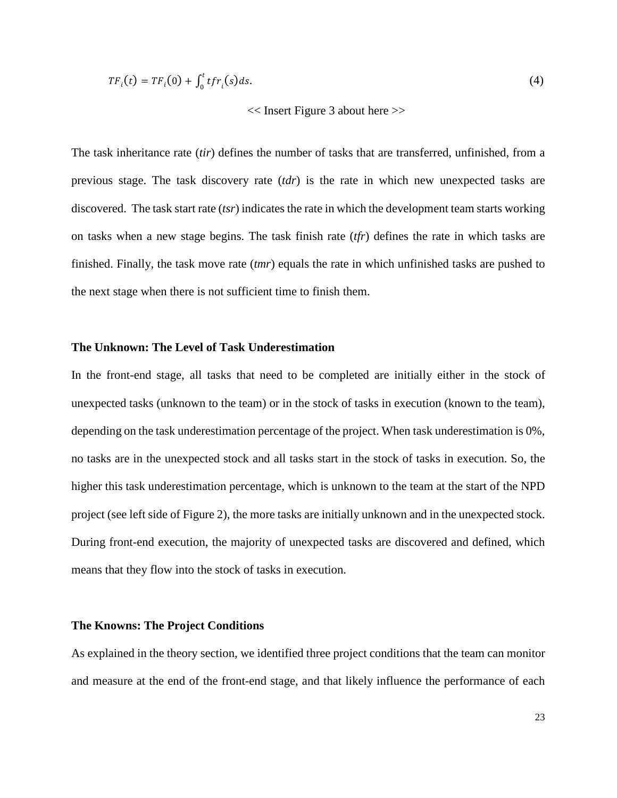$$
TF_i(t) = TF_i(0) + \int_0^t tfr_i(s)ds.
$$
 (4)

#### << Insert Figure 3 about here >>

The task inheritance rate (*tir*) defines the number of tasks that are transferred, unfinished, from a previous stage. The task discovery rate (*tdr*) is the rate in which new unexpected tasks are discovered. The task start rate (*tsr*) indicates the rate in which the development team starts working on tasks when a new stage begins. The task finish rate (*tfr*) defines the rate in which tasks are finished. Finally, the task move rate (*tmr*) equals the rate in which unfinished tasks are pushed to the next stage when there is not sufficient time to finish them.

#### **The Unknown: The Level of Task Underestimation**

In the front-end stage, all tasks that need to be completed are initially either in the stock of unexpected tasks (unknown to the team) or in the stock of tasks in execution (known to the team), depending on the task underestimation percentage of the project. When task underestimation is 0%, no tasks are in the unexpected stock and all tasks start in the stock of tasks in execution. So, the higher this task underestimation percentage, which is unknown to the team at the start of the NPD project (see left side of Figure 2), the more tasks are initially unknown and in the unexpected stock. During front-end execution, the majority of unexpected tasks are discovered and defined, which means that they flow into the stock of tasks in execution.

#### **The Knowns: The Project Conditions**

As explained in the theory section, we identified three project conditions that the team can monitor and measure at the end of the front-end stage, and that likely influence the performance of each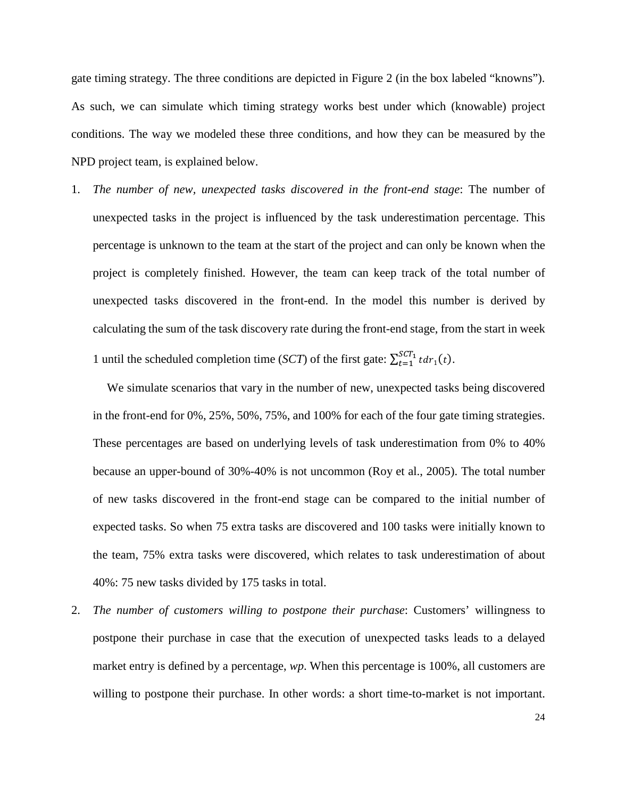gate timing strategy. The three conditions are depicted in Figure 2 (in the box labeled "knowns"). As such, we can simulate which timing strategy works best under which (knowable) project conditions. The way we modeled these three conditions, and how they can be measured by the NPD project team, is explained below.

1. *The number of new, unexpected tasks discovered in the front-end stage*: The number of unexpected tasks in the project is influenced by the task underestimation percentage. This percentage is unknown to the team at the start of the project and can only be known when the project is completely finished. However, the team can keep track of the total number of unexpected tasks discovered in the front-end. In the model this number is derived by calculating the sum of the task discovery rate during the front-end stage, from the start in week 1 until the scheduled completion time (*SCT*) of the first gate:  $\sum_{t=1}^{SCT_1} t dr_1(t)$ .

We simulate scenarios that vary in the number of new, unexpected tasks being discovered in the front-end for 0%, 25%, 50%, 75%, and 100% for each of the four gate timing strategies. These percentages are based on underlying levels of task underestimation from 0% to 40% because an upper-bound of 30%-40% is not uncommon (Roy et al., 2005). The total number of new tasks discovered in the front-end stage can be compared to the initial number of expected tasks. So when 75 extra tasks are discovered and 100 tasks were initially known to the team, 75% extra tasks were discovered, which relates to task underestimation of about 40%: 75 new tasks divided by 175 tasks in total.

2. *The number of customers willing to postpone their purchase*: Customers' willingness to postpone their purchase in case that the execution of unexpected tasks leads to a delayed market entry is defined by a percentage, *wp*. When this percentage is 100%, all customers are willing to postpone their purchase. In other words: a short time-to-market is not important.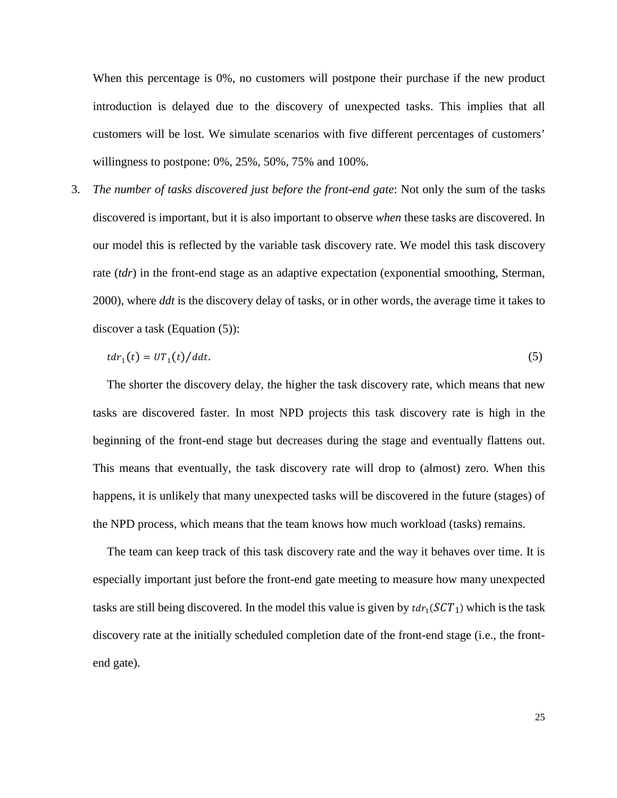When this percentage is 0%, no customers will postpone their purchase if the new product introduction is delayed due to the discovery of unexpected tasks. This implies that all customers will be lost. We simulate scenarios with five different percentages of customers' willingness to postpone: 0%, 25%, 50%, 75% and 100%.

3. *The number of tasks discovered just before the front-end gate*: Not only the sum of the tasks discovered is important, but it is also important to observe *when* these tasks are discovered. In our model this is reflected by the variable task discovery rate. We model this task discovery rate (*tdr*) in the front-end stage as an adaptive expectation (exponential smoothing, Sterman, 2000), where *ddt* is the discovery delay of tasks, or in other words, the average time it takes to discover a task (Equation (5)):

$$
tdr_1(t) = UT_1(t)/ddt.
$$
\n<sup>(5)</sup>

The shorter the discovery delay, the higher the task discovery rate, which means that new tasks are discovered faster. In most NPD projects this task discovery rate is high in the beginning of the front-end stage but decreases during the stage and eventually flattens out. This means that eventually, the task discovery rate will drop to (almost) zero. When this happens, it is unlikely that many unexpected tasks will be discovered in the future (stages) of the NPD process, which means that the team knows how much workload (tasks) remains.

The team can keep track of this task discovery rate and the way it behaves over time. It is especially important just before the front-end gate meeting to measure how many unexpected tasks are still being discovered. In the model this value is given by  $tdr_1(SCT_1)$  which is the task discovery rate at the initially scheduled completion date of the front-end stage (i.e., the frontend gate).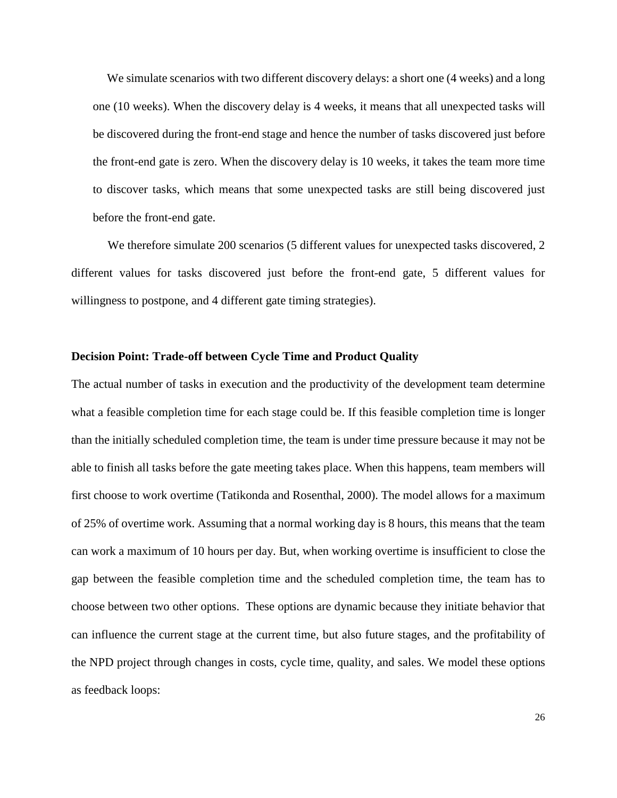We simulate scenarios with two different discovery delays: a short one (4 weeks) and a long one (10 weeks). When the discovery delay is 4 weeks, it means that all unexpected tasks will be discovered during the front-end stage and hence the number of tasks discovered just before the front-end gate is zero. When the discovery delay is 10 weeks, it takes the team more time to discover tasks, which means that some unexpected tasks are still being discovered just before the front-end gate.

We therefore simulate 200 scenarios (5 different values for unexpected tasks discovered, 2 different values for tasks discovered just before the front-end gate, 5 different values for willingness to postpone, and 4 different gate timing strategies).

#### **Decision Point: Trade-off between Cycle Time and Product Quality**

The actual number of tasks in execution and the productivity of the development team determine what a feasible completion time for each stage could be. If this feasible completion time is longer than the initially scheduled completion time, the team is under time pressure because it may not be able to finish all tasks before the gate meeting takes place. When this happens, team members will first choose to work overtime (Tatikonda and Rosenthal, 2000). The model allows for a maximum of 25% of overtime work. Assuming that a normal working day is 8 hours, this means that the team can work a maximum of 10 hours per day. But, when working overtime is insufficient to close the gap between the feasible completion time and the scheduled completion time, the team has to choose between two other options. These options are dynamic because they initiate behavior that can influence the current stage at the current time, but also future stages, and the profitability of the NPD project through changes in costs, cycle time, quality, and sales. We model these options as feedback loops: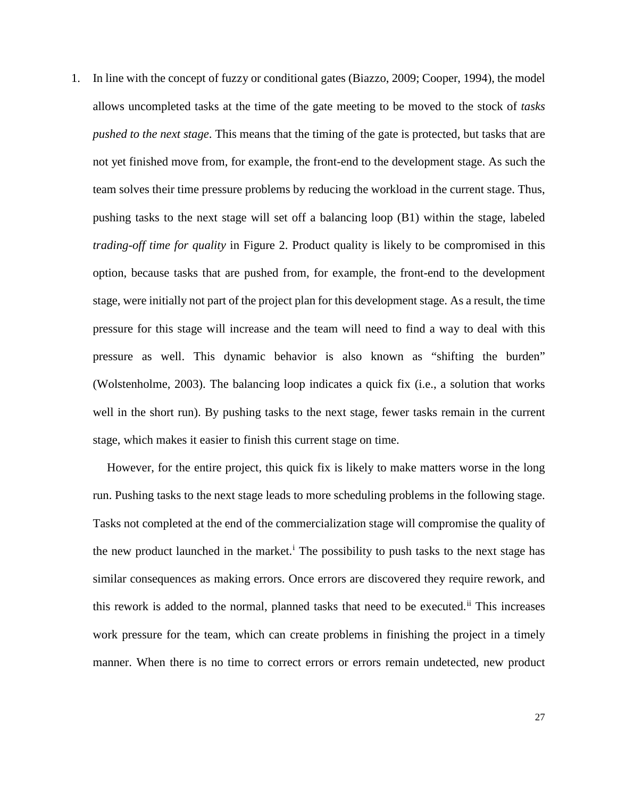1. In line with the concept of fuzzy or conditional gates (Biazzo, 2009; Cooper, 1994), the model allows uncompleted tasks at the time of the gate meeting to be moved to the stock of *tasks pushed to the next stage*. This means that the timing of the gate is protected, but tasks that are not yet finished move from, for example, the front-end to the development stage. As such the team solves their time pressure problems by reducing the workload in the current stage. Thus, pushing tasks to the next stage will set off a balancing loop (B1) within the stage, labeled *trading-off time for quality* in Figure 2. Product quality is likely to be compromised in this option, because tasks that are pushed from, for example, the front-end to the development stage, were initially not part of the project plan for this development stage. As a result, the time pressure for this stage will increase and the team will need to find a way to deal with this pressure as well. This dynamic behavior is also known as "shifting the burden" (Wolstenholme, 2003). The balancing loop indicates a quick fix (i.e., a solution that works well in the short run). By pushing tasks to the next stage, fewer tasks remain in the current stage, which makes it easier to finish this current stage on time.

However, for the entire project, this quick fix is likely to make matters worse in the long run. Pushing tasks to the next stage leads to more scheduling problems in the following stage. Tasks not completed at the end of the commercialization stage will compromise the quality of the new product launched [i](#page-53-0)n the market.<sup>i</sup> The possibility to push tasks to the next stage has similar consequences as making errors. Once errors are discovered they require rework, and this rework is added to the normal, planned tasks that need to be executed.<sup>[ii](#page-53-1)</sup> This increases work pressure for the team, which can create problems in finishing the project in a timely manner. When there is no time to correct errors or errors remain undetected, new product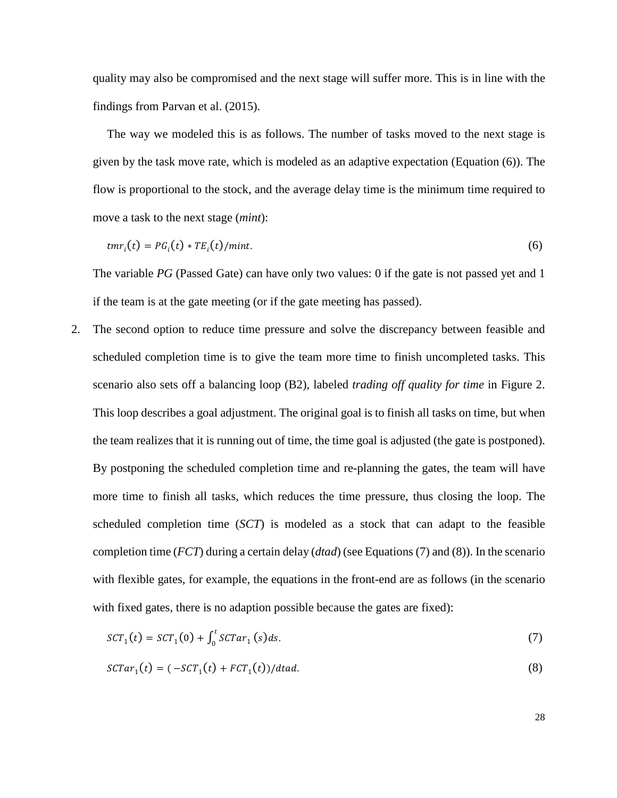quality may also be compromised and the next stage will suffer more. This is in line with the findings from Parvan et al. (2015).

The way we modeled this is as follows. The number of tasks moved to the next stage is given by the task move rate, which is modeled as an adaptive expectation (Equation (6)). The flow is proportional to the stock, and the average delay time is the minimum time required to move a task to the next stage (*mint*):

$$
tmr_i(t) = PG_i(t) * TE_i(t)/mint.
$$
\n(6)

The variable *PG* (Passed Gate) can have only two values: 0 if the gate is not passed yet and 1 if the team is at the gate meeting (or if the gate meeting has passed).

2. The second option to reduce time pressure and solve the discrepancy between feasible and scheduled completion time is to give the team more time to finish uncompleted tasks. This scenario also sets off a balancing loop (B2), labeled *trading off quality for time* in Figure 2. This loop describes a goal adjustment. The original goal is to finish all tasks on time, but when the team realizes that it is running out of time, the time goal is adjusted (the gate is postponed). By postponing the scheduled completion time and re-planning the gates, the team will have more time to finish all tasks, which reduces the time pressure, thus closing the loop. The scheduled completion time (*SCT*) is modeled as a stock that can adapt to the feasible completion time (*FCT*) during a certain delay (*dtad*) (see Equations (7) and (8)). In the scenario with flexible gates, for example, the equations in the front-end are as follows (in the scenario with fixed gates, there is no adaption possible because the gates are fixed):

$$
SCT_1(t) = SCT_1(0) + \int_0^t SCTar_1(s)ds.
$$
\n(7)

 $SCTar_1(t) = (-SCT_1(t) + FCT_1(t))/d$ tad. (8)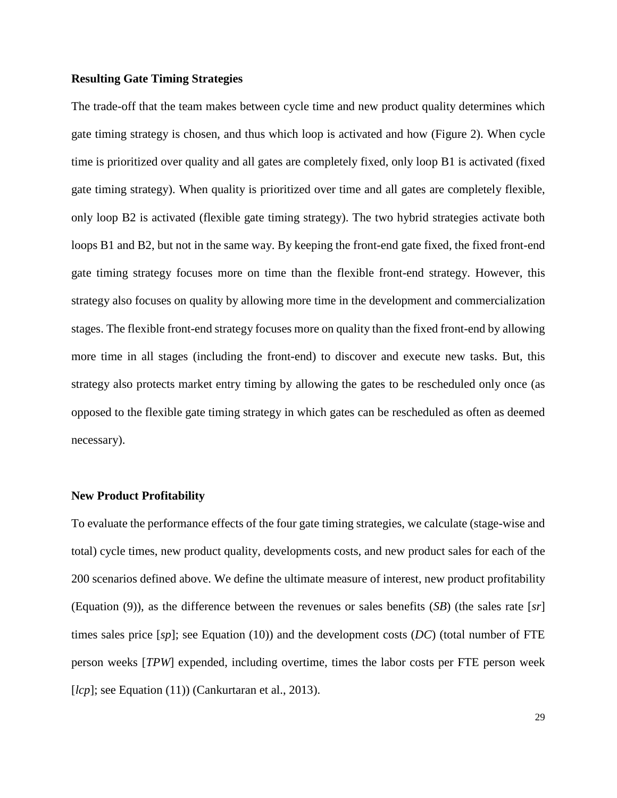#### **Resulting Gate Timing Strategies**

The trade-off that the team makes between cycle time and new product quality determines which gate timing strategy is chosen, and thus which loop is activated and how (Figure 2). When cycle time is prioritized over quality and all gates are completely fixed, only loop B1 is activated (fixed gate timing strategy). When quality is prioritized over time and all gates are completely flexible, only loop B2 is activated (flexible gate timing strategy). The two hybrid strategies activate both loops B1 and B2, but not in the same way. By keeping the front-end gate fixed, the fixed front-end gate timing strategy focuses more on time than the flexible front-end strategy. However, this strategy also focuses on quality by allowing more time in the development and commercialization stages. The flexible front-end strategy focuses more on quality than the fixed front-end by allowing more time in all stages (including the front-end) to discover and execute new tasks. But, this strategy also protects market entry timing by allowing the gates to be rescheduled only once (as opposed to the flexible gate timing strategy in which gates can be rescheduled as often as deemed necessary).

#### **New Product Profitability**

To evaluate the performance effects of the four gate timing strategies, we calculate (stage-wise and total) cycle times, new product quality, developments costs, and new product sales for each of the 200 scenarios defined above. We define the ultimate measure of interest, new product profitability (Equation (9)), as the difference between the revenues or sales benefits (*SB*) (the sales rate [*sr*] times sales price [*sp*]; see Equation (10)) and the development costs (*DC*) (total number of FTE person weeks [*TPW*] expended, including overtime, times the labor costs per FTE person week [*lcp*]; see Equation (11)) (Cankurtaran et al., 2013).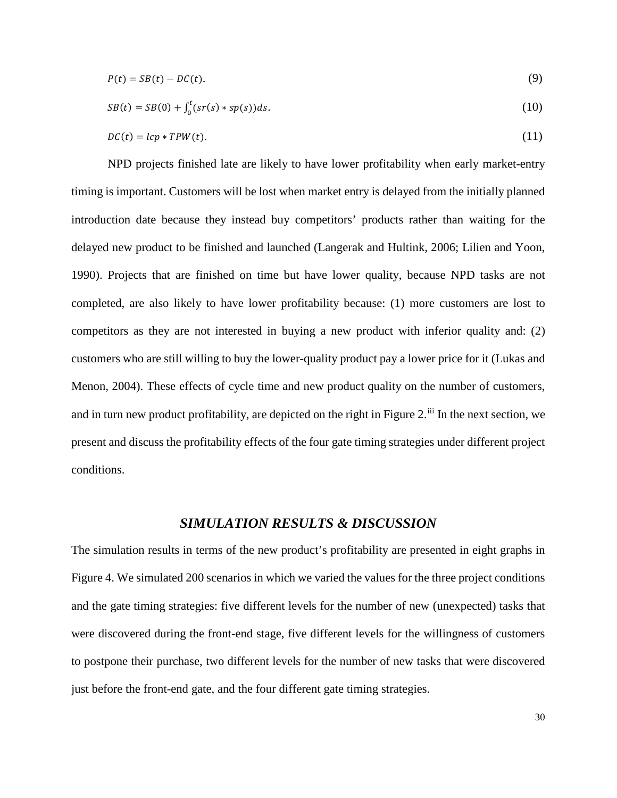$$
P(t) = SB(t) - DC(t). \tag{9}
$$

$$
SB(t) = SB(0) + \int_0^t (sr(s) * sp(s))ds.
$$
 (10)

$$
DC(t) = lcp * TPW(t). \tag{11}
$$

NPD projects finished late are likely to have lower profitability when early market-entry timing is important. Customers will be lost when market entry is delayed from the initially planned introduction date because they instead buy competitors' products rather than waiting for the delayed new product to be finished and launched (Langerak and Hultink, 2006; Lilien and Yoon, 1990). Projects that are finished on time but have lower quality, because NPD tasks are not completed, are also likely to have lower profitability because: (1) more customers are lost to competitors as they are not interested in buying a new product with inferior quality and: (2) customers who are still willing to buy the lower-quality product pay a lower price for it (Lukas and Menon, 2004). These effects of cycle time and new product quality on the number of customers, and in turn new product profitability, are depicted on the right in Figure 2.<sup>[iii](#page-53-2)</sup> In the next section, we present and discuss the profitability effects of the four gate timing strategies under different project conditions.

### *SIMULATION RESULTS & DISCUSSION*

The simulation results in terms of the new product's profitability are presented in eight graphs in Figure 4. We simulated 200 scenarios in which we varied the values for the three project conditions and the gate timing strategies: five different levels for the number of new (unexpected) tasks that were discovered during the front-end stage, five different levels for the willingness of customers to postpone their purchase, two different levels for the number of new tasks that were discovered just before the front-end gate, and the four different gate timing strategies.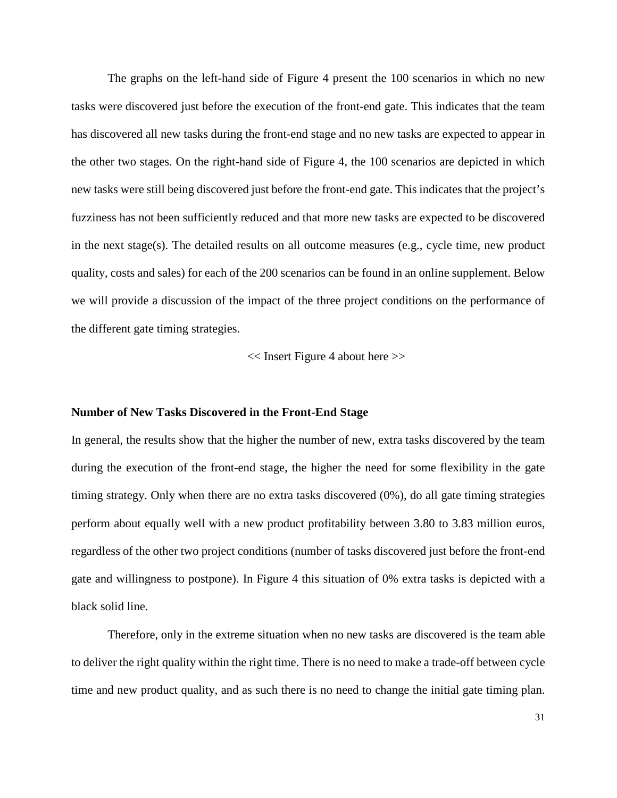The graphs on the left-hand side of Figure 4 present the 100 scenarios in which no new tasks were discovered just before the execution of the front-end gate. This indicates that the team has discovered all new tasks during the front-end stage and no new tasks are expected to appear in the other two stages. On the right-hand side of Figure 4, the 100 scenarios are depicted in which new tasks were still being discovered just before the front-end gate. This indicates that the project's fuzziness has not been sufficiently reduced and that more new tasks are expected to be discovered in the next stage(s). The detailed results on all outcome measures (e.g., cycle time, new product quality, costs and sales) for each of the 200 scenarios can be found in an online supplement. Below we will provide a discussion of the impact of the three project conditions on the performance of the different gate timing strategies.

<< Insert Figure 4 about here >>

#### **Number of New Tasks Discovered in the Front-End Stage**

In general, the results show that the higher the number of new, extra tasks discovered by the team during the execution of the front-end stage, the higher the need for some flexibility in the gate timing strategy. Only when there are no extra tasks discovered (0%), do all gate timing strategies perform about equally well with a new product profitability between 3.80 to 3.83 million euros, regardless of the other two project conditions (number of tasks discovered just before the front-end gate and willingness to postpone). In Figure 4 this situation of 0% extra tasks is depicted with a black solid line.

Therefore, only in the extreme situation when no new tasks are discovered is the team able to deliver the right quality within the right time. There is no need to make a trade-off between cycle time and new product quality, and as such there is no need to change the initial gate timing plan.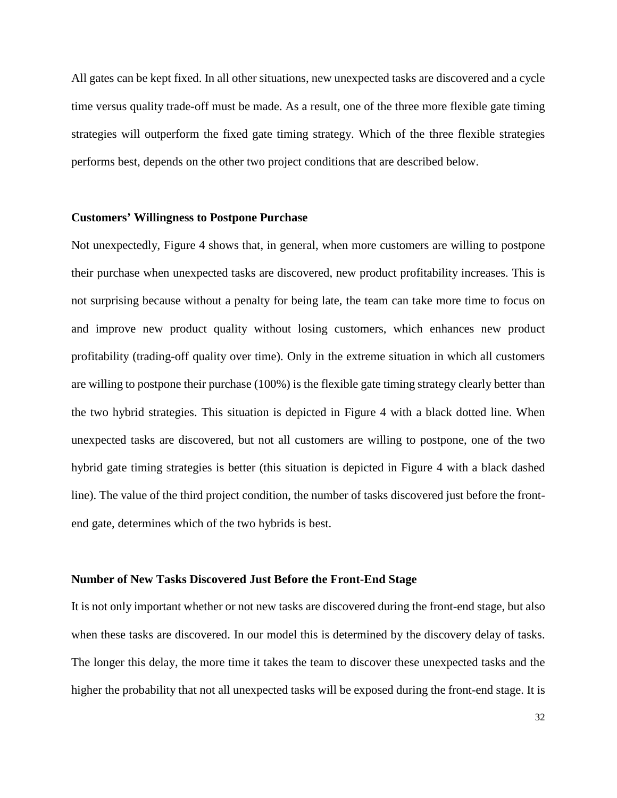All gates can be kept fixed. In all other situations, new unexpected tasks are discovered and a cycle time versus quality trade-off must be made. As a result, one of the three more flexible gate timing strategies will outperform the fixed gate timing strategy. Which of the three flexible strategies performs best, depends on the other two project conditions that are described below.

#### **Customers' Willingness to Postpone Purchase**

Not unexpectedly, Figure 4 shows that, in general, when more customers are willing to postpone their purchase when unexpected tasks are discovered, new product profitability increases. This is not surprising because without a penalty for being late, the team can take more time to focus on and improve new product quality without losing customers, which enhances new product profitability (trading-off quality over time). Only in the extreme situation in which all customers are willing to postpone their purchase (100%) is the flexible gate timing strategy clearly better than the two hybrid strategies. This situation is depicted in Figure 4 with a black dotted line. When unexpected tasks are discovered, but not all customers are willing to postpone, one of the two hybrid gate timing strategies is better (this situation is depicted in Figure 4 with a black dashed line). The value of the third project condition, the number of tasks discovered just before the frontend gate, determines which of the two hybrids is best.

#### **Number of New Tasks Discovered Just Before the Front-End Stage**

It is not only important whether or not new tasks are discovered during the front-end stage, but also when these tasks are discovered. In our model this is determined by the discovery delay of tasks. The longer this delay, the more time it takes the team to discover these unexpected tasks and the higher the probability that not all unexpected tasks will be exposed during the front-end stage. It is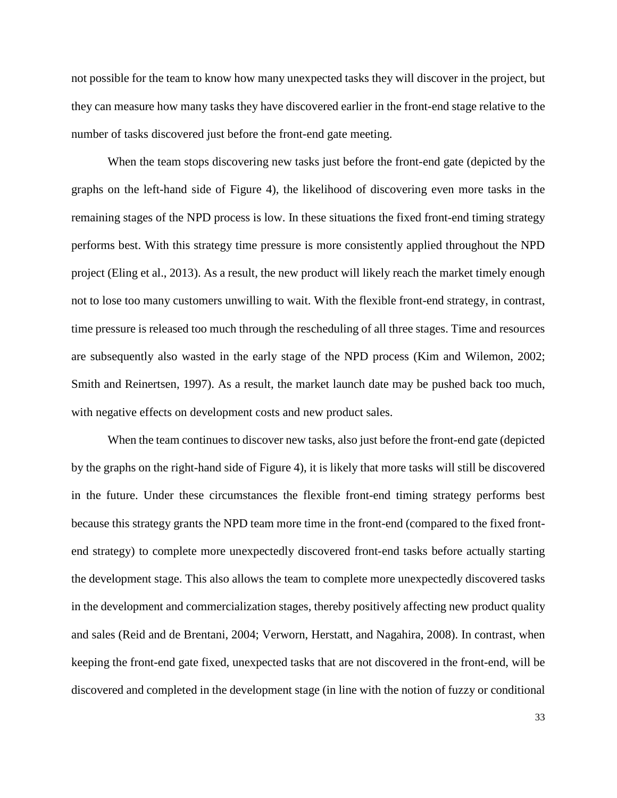not possible for the team to know how many unexpected tasks they will discover in the project, but they can measure how many tasks they have discovered earlier in the front-end stage relative to the number of tasks discovered just before the front-end gate meeting.

When the team stops discovering new tasks just before the front-end gate (depicted by the graphs on the left-hand side of Figure 4), the likelihood of discovering even more tasks in the remaining stages of the NPD process is low. In these situations the fixed front-end timing strategy performs best. With this strategy time pressure is more consistently applied throughout the NPD project (Eling et al., 2013). As a result, the new product will likely reach the market timely enough not to lose too many customers unwilling to wait. With the flexible front-end strategy, in contrast, time pressure is released too much through the rescheduling of all three stages. Time and resources are subsequently also wasted in the early stage of the NPD process (Kim and Wilemon, 2002; Smith and Reinertsen, 1997). As a result, the market launch date may be pushed back too much, with negative effects on development costs and new product sales.

When the team continues to discover new tasks, also just before the front-end gate (depicted by the graphs on the right-hand side of Figure 4), it is likely that more tasks will still be discovered in the future. Under these circumstances the flexible front-end timing strategy performs best because this strategy grants the NPD team more time in the front-end (compared to the fixed frontend strategy) to complete more unexpectedly discovered front-end tasks before actually starting the development stage. This also allows the team to complete more unexpectedly discovered tasks in the development and commercialization stages, thereby positively affecting new product quality and sales (Reid and de Brentani, 2004; Verworn, Herstatt, and Nagahira, 2008). In contrast, when keeping the front-end gate fixed, unexpected tasks that are not discovered in the front-end, will be discovered and completed in the development stage (in line with the notion of fuzzy or conditional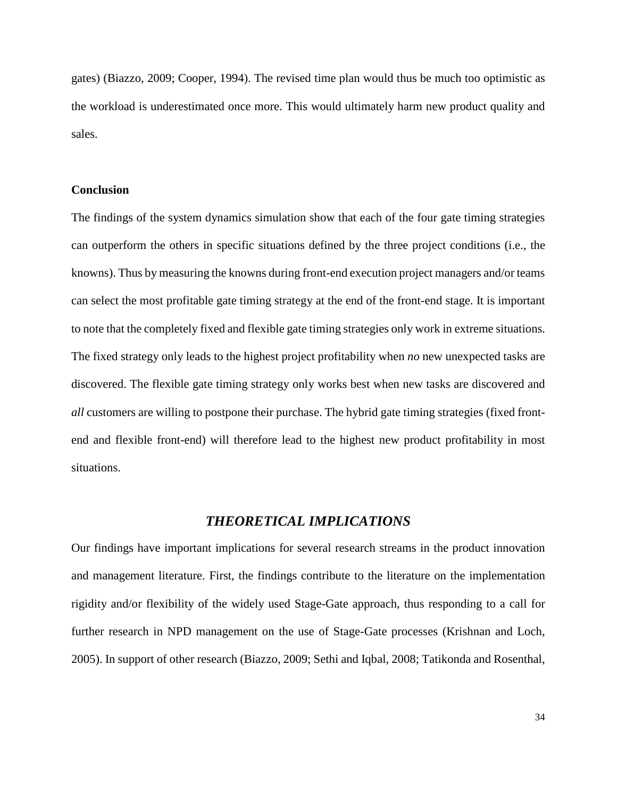gates) (Biazzo, 2009; Cooper, 1994). The revised time plan would thus be much too optimistic as the workload is underestimated once more. This would ultimately harm new product quality and sales.

#### **Conclusion**

The findings of the system dynamics simulation show that each of the four gate timing strategies can outperform the others in specific situations defined by the three project conditions (i.e., the knowns). Thus by measuring the knowns during front-end execution project managers and/or teams can select the most profitable gate timing strategy at the end of the front-end stage. It is important to note that the completely fixed and flexible gate timing strategies only work in extreme situations. The fixed strategy only leads to the highest project profitability when *no* new unexpected tasks are discovered. The flexible gate timing strategy only works best when new tasks are discovered and *all* customers are willing to postpone their purchase. The hybrid gate timing strategies (fixed frontend and flexible front-end) will therefore lead to the highest new product profitability in most situations.

### *THEORETICAL IMPLICATIONS*

Our findings have important implications for several research streams in the product innovation and management literature. First, the findings contribute to the literature on the implementation rigidity and/or flexibility of the widely used Stage-Gate approach, thus responding to a call for further research in NPD management on the use of Stage-Gate processes (Krishnan and Loch, 2005). In support of other research (Biazzo, 2009; Sethi and Iqbal, 2008; Tatikonda and Rosenthal,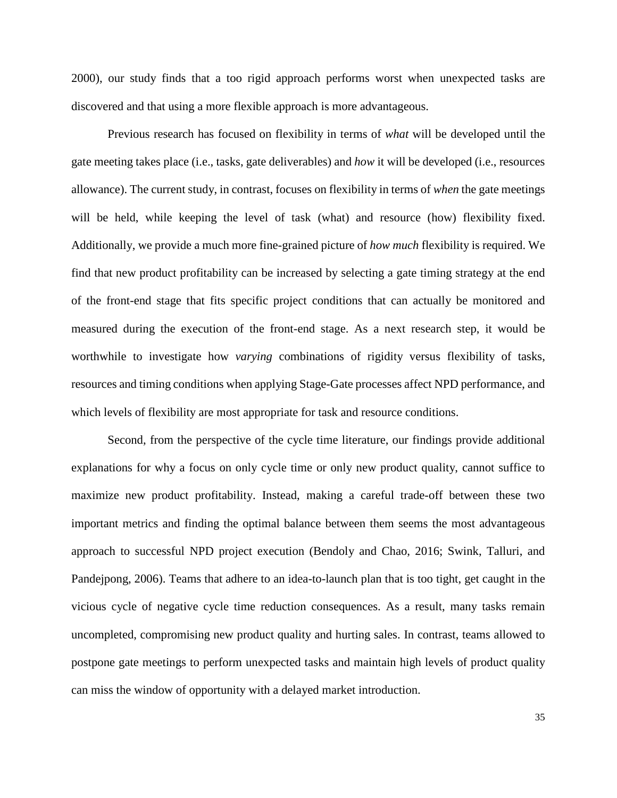2000), our study finds that a too rigid approach performs worst when unexpected tasks are discovered and that using a more flexible approach is more advantageous.

Previous research has focused on flexibility in terms of *what* will be developed until the gate meeting takes place (i.e., tasks, gate deliverables) and *how* it will be developed (i.e., resources allowance). The current study, in contrast, focuses on flexibility in terms of *when* the gate meetings will be held, while keeping the level of task (what) and resource (how) flexibility fixed. Additionally, we provide a much more fine-grained picture of *how much* flexibility is required. We find that new product profitability can be increased by selecting a gate timing strategy at the end of the front-end stage that fits specific project conditions that can actually be monitored and measured during the execution of the front-end stage. As a next research step, it would be worthwhile to investigate how *varying* combinations of rigidity versus flexibility of tasks, resources and timing conditions when applying Stage-Gate processes affect NPD performance, and which levels of flexibility are most appropriate for task and resource conditions.

Second, from the perspective of the cycle time literature, our findings provide additional explanations for why a focus on only cycle time or only new product quality, cannot suffice to maximize new product profitability. Instead, making a careful trade-off between these two important metrics and finding the optimal balance between them seems the most advantageous approach to successful NPD project execution (Bendoly and Chao, 2016; Swink, Talluri, and Pandejpong, 2006). Teams that adhere to an idea-to-launch plan that is too tight, get caught in the vicious cycle of negative cycle time reduction consequences. As a result, many tasks remain uncompleted, compromising new product quality and hurting sales. In contrast, teams allowed to postpone gate meetings to perform unexpected tasks and maintain high levels of product quality can miss the window of opportunity with a delayed market introduction.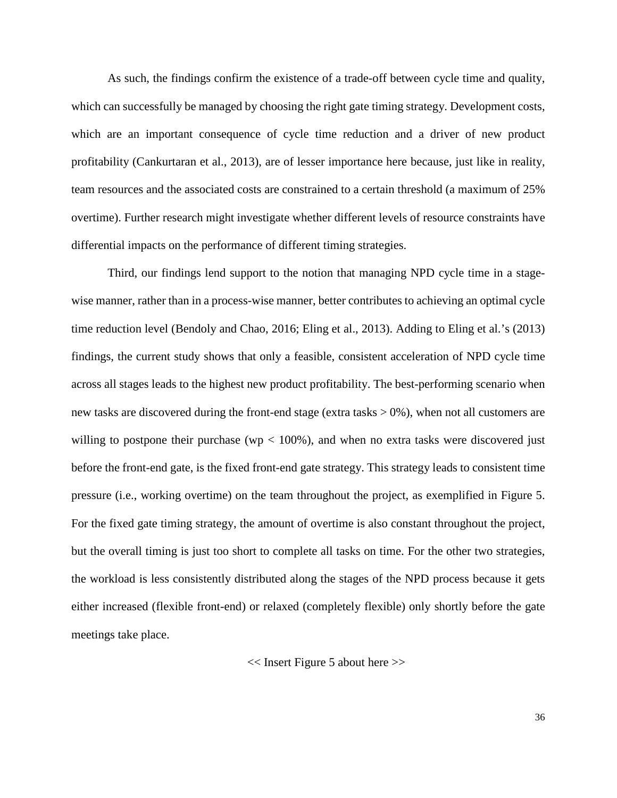As such, the findings confirm the existence of a trade-off between cycle time and quality, which can successfully be managed by choosing the right gate timing strategy. Development costs, which are an important consequence of cycle time reduction and a driver of new product profitability (Cankurtaran et al., 2013), are of lesser importance here because, just like in reality, team resources and the associated costs are constrained to a certain threshold (a maximum of 25% overtime). Further research might investigate whether different levels of resource constraints have differential impacts on the performance of different timing strategies.

Third, our findings lend support to the notion that managing NPD cycle time in a stagewise manner, rather than in a process-wise manner, better contributes to achieving an optimal cycle time reduction level (Bendoly and Chao, 2016; Eling et al., 2013). Adding to Eling et al.'s (2013) findings, the current study shows that only a feasible, consistent acceleration of NPD cycle time across all stages leads to the highest new product profitability. The best-performing scenario when new tasks are discovered during the front-end stage (extra tasks  $> 0\%$ ), when not all customers are willing to postpone their purchase ( $wp < 100\%$ ), and when no extra tasks were discovered just before the front-end gate, is the fixed front-end gate strategy. This strategy leads to consistent time pressure (i.e., working overtime) on the team throughout the project, as exemplified in Figure 5. For the fixed gate timing strategy, the amount of overtime is also constant throughout the project, but the overall timing is just too short to complete all tasks on time. For the other two strategies, the workload is less consistently distributed along the stages of the NPD process because it gets either increased (flexible front-end) or relaxed (completely flexible) only shortly before the gate meetings take place.

<< Insert Figure 5 about here >>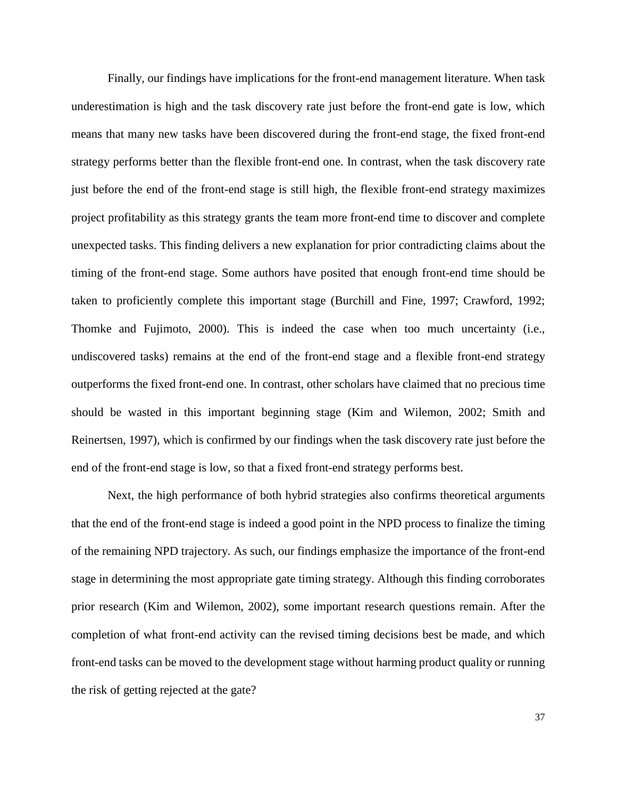Finally, our findings have implications for the front-end management literature. When task underestimation is high and the task discovery rate just before the front-end gate is low, which means that many new tasks have been discovered during the front-end stage, the fixed front-end strategy performs better than the flexible front-end one. In contrast, when the task discovery rate just before the end of the front-end stage is still high, the flexible front-end strategy maximizes project profitability as this strategy grants the team more front-end time to discover and complete unexpected tasks. This finding delivers a new explanation for prior contradicting claims about the timing of the front-end stage. Some authors have posited that enough front-end time should be taken to proficiently complete this important stage (Burchill and Fine, 1997; Crawford, 1992; Thomke and Fujimoto, 2000). This is indeed the case when too much uncertainty (i.e., undiscovered tasks) remains at the end of the front-end stage and a flexible front-end strategy outperforms the fixed front-end one. In contrast, other scholars have claimed that no precious time should be wasted in this important beginning stage (Kim and Wilemon, 2002; Smith and Reinertsen, 1997), which is confirmed by our findings when the task discovery rate just before the end of the front-end stage is low, so that a fixed front-end strategy performs best.

Next, the high performance of both hybrid strategies also confirms theoretical arguments that the end of the front-end stage is indeed a good point in the NPD process to finalize the timing of the remaining NPD trajectory. As such, our findings emphasize the importance of the front-end stage in determining the most appropriate gate timing strategy. Although this finding corroborates prior research (Kim and Wilemon, 2002), some important research questions remain. After the completion of what front-end activity can the revised timing decisions best be made, and which front-end tasks can be moved to the development stage without harming product quality or running the risk of getting rejected at the gate?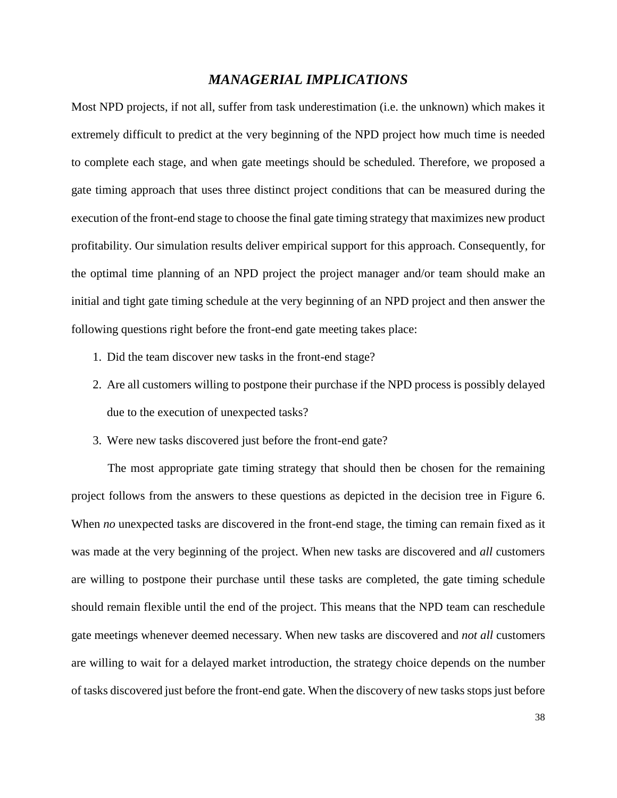# *MANAGERIAL IMPLICATIONS*

Most NPD projects, if not all, suffer from task underestimation (i.e. the unknown) which makes it extremely difficult to predict at the very beginning of the NPD project how much time is needed to complete each stage, and when gate meetings should be scheduled. Therefore, we proposed a gate timing approach that uses three distinct project conditions that can be measured during the execution of the front-end stage to choose the final gate timing strategy that maximizes new product profitability. Our simulation results deliver empirical support for this approach. Consequently, for the optimal time planning of an NPD project the project manager and/or team should make an initial and tight gate timing schedule at the very beginning of an NPD project and then answer the following questions right before the front-end gate meeting takes place:

- 1. Did the team discover new tasks in the front-end stage?
- 2. Are all customers willing to postpone their purchase if the NPD process is possibly delayed due to the execution of unexpected tasks?
- 3. Were new tasks discovered just before the front-end gate?

The most appropriate gate timing strategy that should then be chosen for the remaining project follows from the answers to these questions as depicted in the decision tree in Figure 6. When *no* unexpected tasks are discovered in the front-end stage, the timing can remain fixed as it was made at the very beginning of the project. When new tasks are discovered and *all* customers are willing to postpone their purchase until these tasks are completed, the gate timing schedule should remain flexible until the end of the project. This means that the NPD team can reschedule gate meetings whenever deemed necessary. When new tasks are discovered and *not all* customers are willing to wait for a delayed market introduction, the strategy choice depends on the number of tasks discovered just before the front-end gate. When the discovery of new tasks stops just before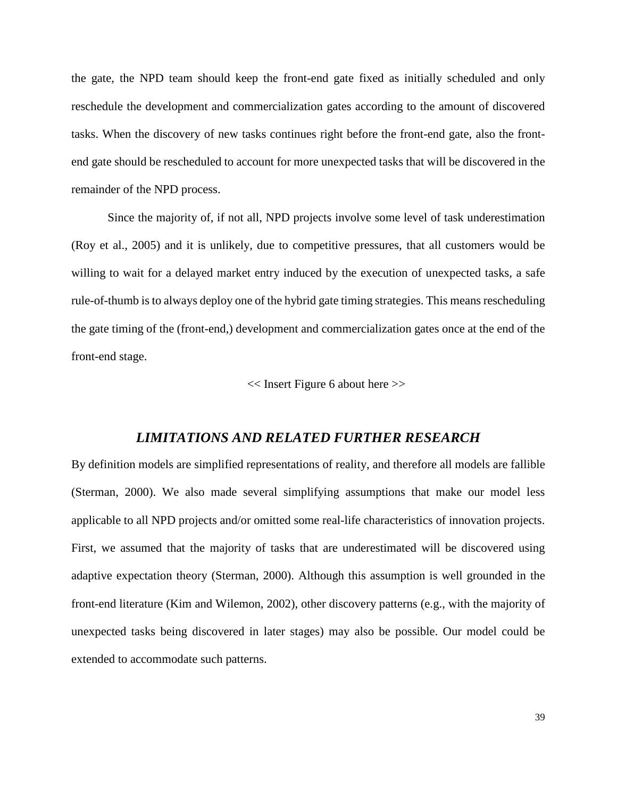the gate, the NPD team should keep the front-end gate fixed as initially scheduled and only reschedule the development and commercialization gates according to the amount of discovered tasks. When the discovery of new tasks continues right before the front-end gate, also the frontend gate should be rescheduled to account for more unexpected tasks that will be discovered in the remainder of the NPD process.

Since the majority of, if not all, NPD projects involve some level of task underestimation (Roy et al., 2005) and it is unlikely, due to competitive pressures, that all customers would be willing to wait for a delayed market entry induced by the execution of unexpected tasks, a safe rule-of-thumb is to always deploy one of the hybrid gate timing strategies. This means rescheduling the gate timing of the (front-end,) development and commercialization gates once at the end of the front-end stage.

<< Insert Figure 6 about here >>

### *LIMITATIONS AND RELATED FURTHER RESEARCH*

By definition models are simplified representations of reality, and therefore all models are fallible (Sterman, 2000). We also made several simplifying assumptions that make our model less applicable to all NPD projects and/or omitted some real-life characteristics of innovation projects. First, we assumed that the majority of tasks that are underestimated will be discovered using adaptive expectation theory (Sterman, 2000). Although this assumption is well grounded in the front-end literature (Kim and Wilemon, 2002), other discovery patterns (e.g., with the majority of unexpected tasks being discovered in later stages) may also be possible. Our model could be extended to accommodate such patterns.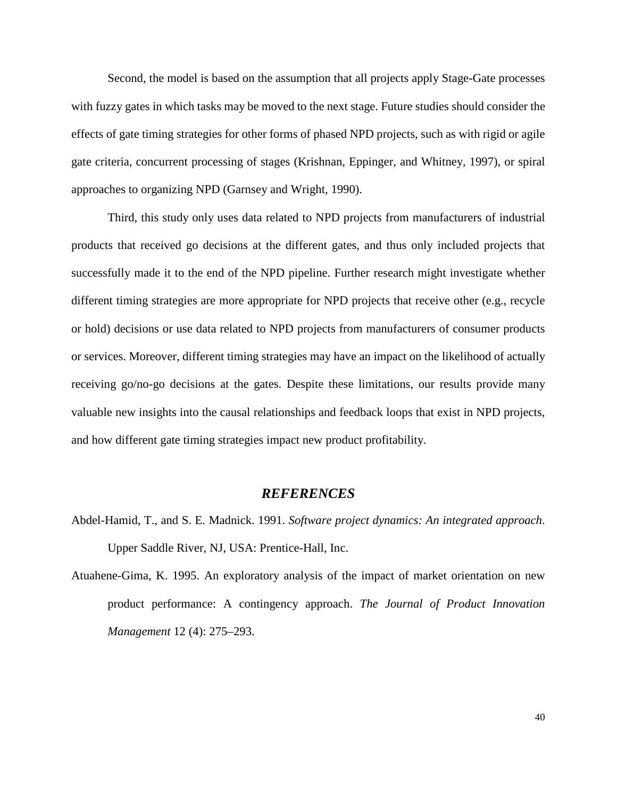Second, the model is based on the assumption that all projects apply Stage-Gate processes with fuzzy gates in which tasks may be moved to the next stage. Future studies should consider the effects of gate timing strategies for other forms of phased NPD projects, such as with rigid or agile gate criteria, concurrent processing of stages (Krishnan, Eppinger, and Whitney, 1997), or spiral approaches to organizing NPD (Garnsey and Wright, 1990).

Third, this study only uses data related to NPD projects from manufacturers of industrial products that received go decisions at the different gates, and thus only included projects that successfully made it to the end of the NPD pipeline. Further research might investigate whether different timing strategies are more appropriate for NPD projects that receive other (e.g., recycle or hold) decisions or use data related to NPD projects from manufacturers of consumer products or services. Moreover, different timing strategies may have an impact on the likelihood of actually receiving go/no-go decisions at the gates. Despite these limitations, our results provide many valuable new insights into the causal relationships and feedback loops that exist in NPD projects, and how different gate timing strategies impact new product profitability.

### *REFERENCES*

- Abdel-Hamid, T., and S. E. Madnick. 1991. *Software project dynamics: An integrated approach*. Upper Saddle River, NJ, USA: Prentice-Hall, Inc.
- Atuahene-Gima, K. 1995. An exploratory analysis of the impact of market orientation on new product performance: A contingency approach. *The Journal of Product Innovation Management* 12 (4): 275–293.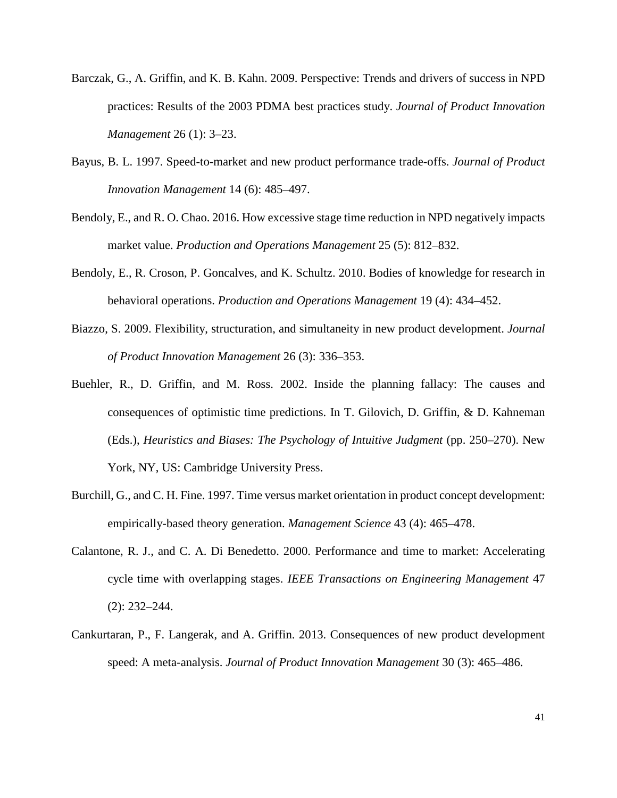- Barczak, G., A. Griffin, and K. B. Kahn. 2009. Perspective: Trends and drivers of success in NPD practices: Results of the 2003 PDMA best practices study. *Journal of Product Innovation Management* 26 (1): 3–23.
- Bayus, B. L. 1997. Speed-to-market and new product performance trade-offs. *Journal of Product Innovation Management* 14 (6): 485–497.
- Bendoly, E., and R. O. Chao. 2016. How excessive stage time reduction in NPD negatively impacts market value. *Production and Operations Management* 25 (5): 812–832.
- Bendoly, E., R. Croson, P. Goncalves, and K. Schultz. 2010. Bodies of knowledge for research in behavioral operations. *Production and Operations Management* 19 (4): 434–452.
- Biazzo, S. 2009. Flexibility, structuration, and simultaneity in new product development. *Journal of Product Innovation Management* 26 (3): 336–353.
- Buehler, R., D. Griffin, and M. Ross. 2002. Inside the planning fallacy: The causes and consequences of optimistic time predictions. In T. Gilovich, D. Griffin, & D. Kahneman (Eds.), *Heuristics and Biases: The Psychology of Intuitive Judgment* (pp. 250–270). New York, NY, US: Cambridge University Press.
- Burchill, G., and C. H. Fine. 1997. Time versus market orientation in product concept development: empirically-based theory generation. *Management Science* 43 (4): 465–478.
- Calantone, R. J., and C. A. Di Benedetto. 2000. Performance and time to market: Accelerating cycle time with overlapping stages. *IEEE Transactions on Engineering Management* 47 (2): 232–244.
- Cankurtaran, P., F. Langerak, and A. Griffin. 2013. Consequences of new product development speed: A meta-analysis. *Journal of Product Innovation Management* 30 (3): 465–486.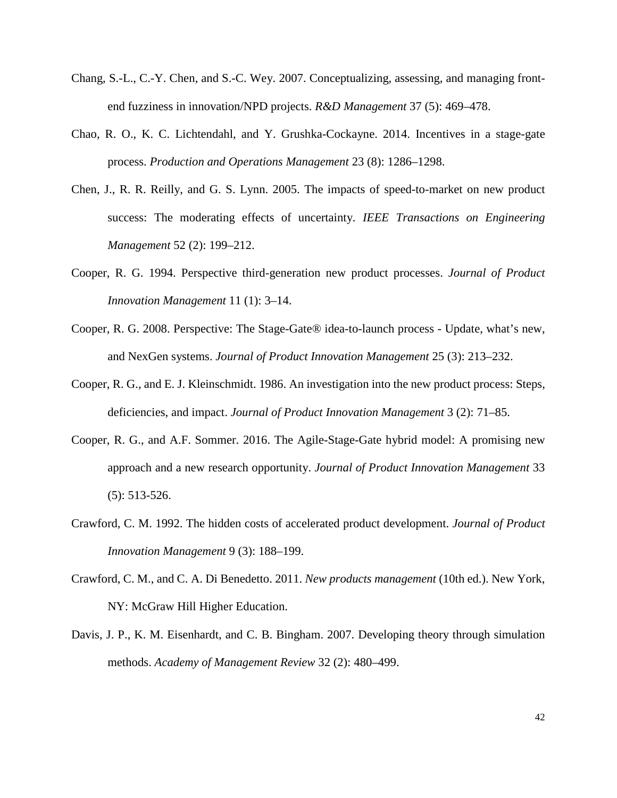- Chang, S.-L., C.-Y. Chen, and S.-C. Wey. 2007. Conceptualizing, assessing, and managing frontend fuzziness in innovation/NPD projects. *R&D Management* 37 (5): 469–478.
- Chao, R. O., K. C. Lichtendahl, and Y. Grushka-Cockayne. 2014. Incentives in a stage-gate process. *Production and Operations Management* 23 (8): 1286–1298.
- Chen, J., R. R. Reilly, and G. S. Lynn. 2005. The impacts of speed-to-market on new product success: The moderating effects of uncertainty. *IEEE Transactions on Engineering Management* 52 (2): 199–212.
- Cooper, R. G. 1994. Perspective third-generation new product processes. *Journal of Product Innovation Management* 11 (1): 3–14.
- Cooper, R. G. 2008. Perspective: The Stage-Gate® idea-to-launch process Update, what's new, and NexGen systems. *Journal of Product Innovation Management* 25 (3): 213–232.
- Cooper, R. G., and E. J. Kleinschmidt. 1986. An investigation into the new product process: Steps, deficiencies, and impact. *Journal of Product Innovation Management* 3 (2): 71–85.
- Cooper, R. G., and A.F. Sommer. 2016. The Agile-Stage-Gate hybrid model: A promising new approach and a new research opportunity. *Journal of Product Innovation Management* 33 (5): 513-526.
- Crawford, C. M. 1992. The hidden costs of accelerated product development. *Journal of Product Innovation Management* 9 (3): 188–199.
- Crawford, C. M., and C. A. Di Benedetto. 2011. *New products management* (10th ed.). New York, NY: McGraw Hill Higher Education.
- Davis, J. P., K. M. Eisenhardt, and C. B. Bingham. 2007. Developing theory through simulation methods. *Academy of Management Review* 32 (2): 480–499.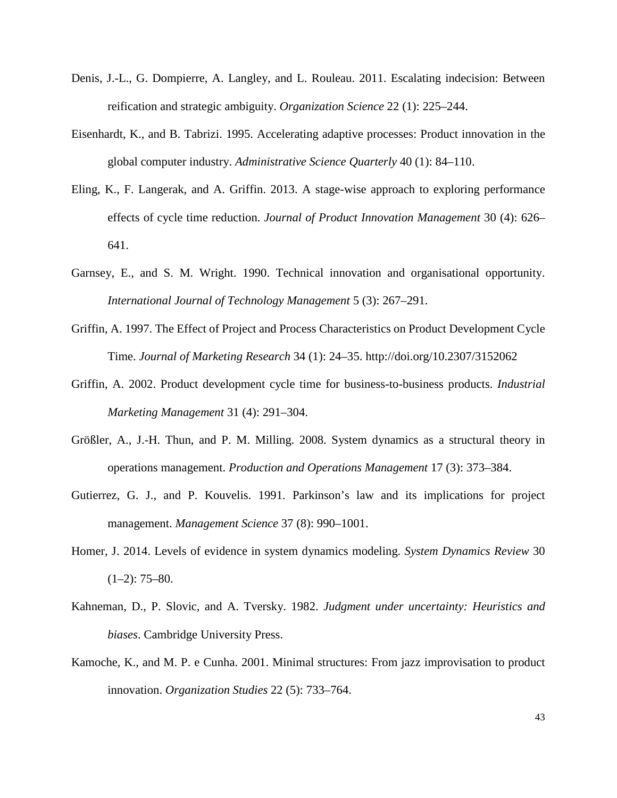- Denis, J.-L., G. Dompierre, A. Langley, and L. Rouleau. 2011. Escalating indecision: Between reification and strategic ambiguity. *Organization Science* 22 (1): 225–244.
- Eisenhardt, K., and B. Tabrizi. 1995. Accelerating adaptive processes: Product innovation in the global computer industry. *Administrative Science Quarterly* 40 (1): 84–110.
- Eling, K., F. Langerak, and A. Griffin. 2013. A stage-wise approach to exploring performance effects of cycle time reduction. *Journal of Product Innovation Management* 30 (4): 626– 641.
- Garnsey, E., and S. M. Wright. 1990. Technical innovation and organisational opportunity. *International Journal of Technology Management* 5 (3): 267–291.
- Griffin, A. 1997. The Effect of Project and Process Characteristics on Product Development Cycle Time. *Journal of Marketing Research* 34 (1): 24–35. http://doi.org/10.2307/3152062
- Griffin, A. 2002. Product development cycle time for business-to-business products. *Industrial Marketing Management* 31 (4): 291–304.
- Größler, A., J.-H. Thun, and P. M. Milling. 2008. System dynamics as a structural theory in operations management. *Production and Operations Management* 17 (3): 373–384.
- Gutierrez, G. J., and P. Kouvelis. 1991. Parkinson's law and its implications for project management. *Management Science* 37 (8): 990–1001.
- Homer, J. 2014. Levels of evidence in system dynamics modeling. *System Dynamics Review* 30  $(1-2)$ : 75–80.
- Kahneman, D., P. Slovic, and A. Tversky. 1982. *Judgment under uncertainty: Heuristics and biases*. Cambridge University Press.
- Kamoche, K., and M. P. e Cunha. 2001. Minimal structures: From jazz improvisation to product innovation. *Organization Studies* 22 (5): 733–764.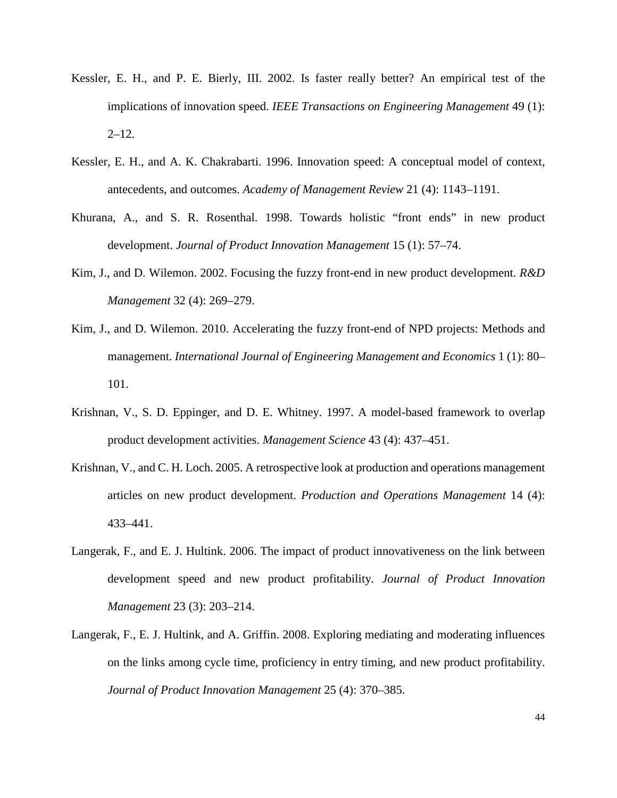- Kessler, E. H., and P. E. Bierly, III. 2002. Is faster really better? An empirical test of the implications of innovation speed. *IEEE Transactions on Engineering Management* 49 (1):  $2 - 12.$
- Kessler, E. H., and A. K. Chakrabarti. 1996. Innovation speed: A conceptual model of context, antecedents, and outcomes. *Academy of Management Review* 21 (4): 1143–1191.
- Khurana, A., and S. R. Rosenthal. 1998. Towards holistic "front ends" in new product development. *Journal of Product Innovation Management* 15 (1): 57–74.
- Kim, J., and D. Wilemon. 2002. Focusing the fuzzy front-end in new product development. *R&D Management* 32 (4): 269–279.
- Kim, J., and D. Wilemon. 2010. Accelerating the fuzzy front-end of NPD projects: Methods and management. *International Journal of Engineering Management and Economics* 1 (1): 80– 101.
- Krishnan, V., S. D. Eppinger, and D. E. Whitney. 1997. A model-based framework to overlap product development activities. *Management Science* 43 (4): 437–451.
- Krishnan, V., and C. H. Loch. 2005. A retrospective look at production and operations management articles on new product development. *Production and Operations Management* 14 (4): 433–441.
- Langerak, F., and E. J. Hultink. 2006. The impact of product innovativeness on the link between development speed and new product profitability. *Journal of Product Innovation Management* 23 (3): 203–214.
- Langerak, F., E. J. Hultink, and A. Griffin. 2008. Exploring mediating and moderating influences on the links among cycle time, proficiency in entry timing, and new product profitability. *Journal of Product Innovation Management* 25 (4): 370–385.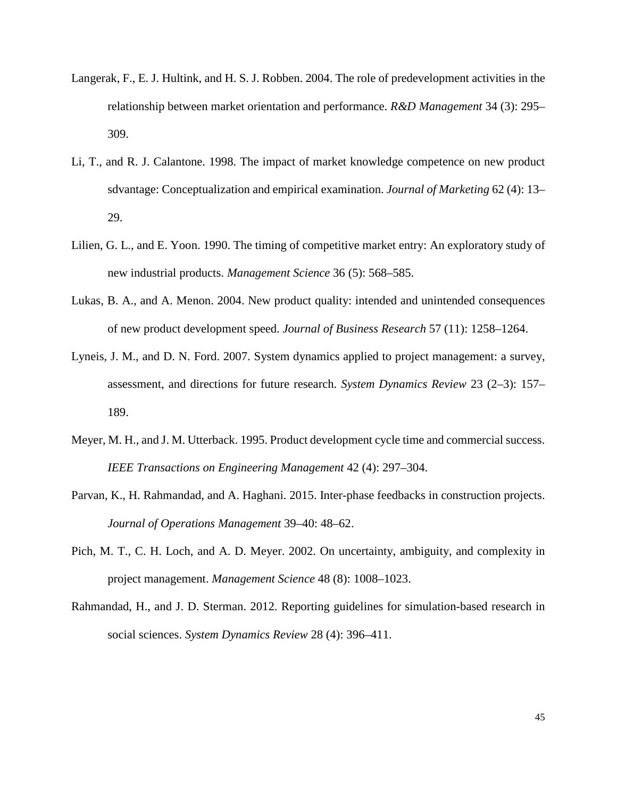- Langerak, F., E. J. Hultink, and H. S. J. Robben. 2004. The role of predevelopment activities in the relationship between market orientation and performance. *R&D Management* 34 (3): 295– 309.
- Li, T., and R. J. Calantone. 1998. The impact of market knowledge competence on new product sdvantage: Conceptualization and empirical examination. *Journal of Marketing* 62 (4): 13– 29.
- Lilien, G. L., and E. Yoon. 1990. The timing of competitive market entry: An exploratory study of new industrial products. *Management Science* 36 (5): 568–585.
- Lukas, B. A., and A. Menon. 2004. New product quality: intended and unintended consequences of new product development speed. *Journal of Business Research* 57 (11): 1258–1264.
- Lyneis, J. M., and D. N. Ford. 2007. System dynamics applied to project management: a survey, assessment, and directions for future research. *System Dynamics Review* 23 (2–3): 157– 189.
- Meyer, M. H., and J. M. Utterback. 1995. Product development cycle time and commercial success. *IEEE Transactions on Engineering Management* 42 (4): 297–304.
- Parvan, K., H. Rahmandad, and A. Haghani. 2015. Inter-phase feedbacks in construction projects. *Journal of Operations Management* 39–40: 48–62.
- Pich, M. T., C. H. Loch, and A. D. Meyer. 2002. On uncertainty, ambiguity, and complexity in project management. *Management Science* 48 (8): 1008–1023.
- Rahmandad, H., and J. D. Sterman. 2012. Reporting guidelines for simulation-based research in social sciences. *System Dynamics Review* 28 (4): 396–411.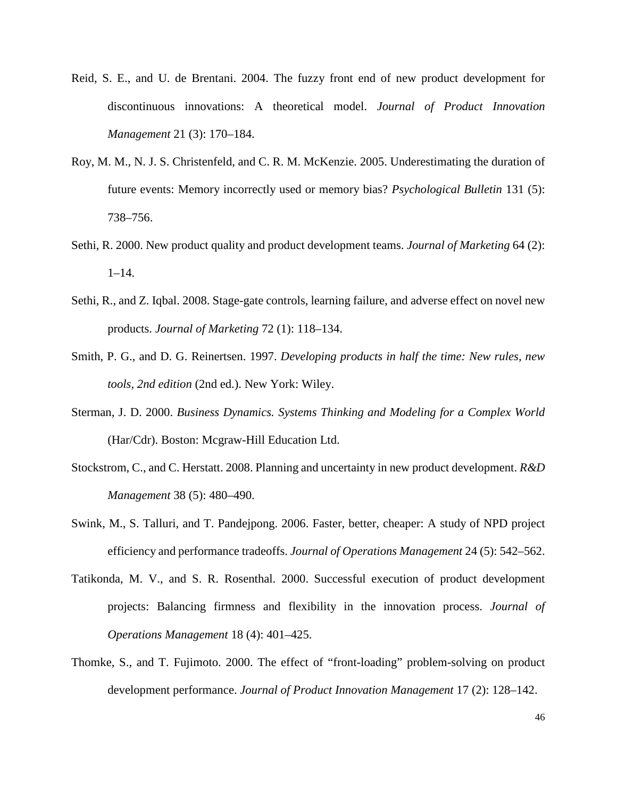- Reid, S. E., and U. de Brentani. 2004. The fuzzy front end of new product development for discontinuous innovations: A theoretical model. *Journal of Product Innovation Management* 21 (3): 170–184.
- Roy, M. M., N. J. S. Christenfeld, and C. R. M. McKenzie. 2005. Underestimating the duration of future events: Memory incorrectly used or memory bias? *Psychological Bulletin* 131 (5): 738–756.
- Sethi, R. 2000. New product quality and product development teams. *Journal of Marketing* 64 (2):  $1-14.$
- Sethi, R., and Z. Iqbal. 2008. Stage-gate controls, learning failure, and adverse effect on novel new products. *Journal of Marketing* 72 (1): 118–134.
- Smith, P. G., and D. G. Reinertsen. 1997. *Developing products in half the time: New rules, new tools, 2nd edition* (2nd ed.). New York: Wiley.
- Sterman, J. D. 2000. *Business Dynamics. Systems Thinking and Modeling for a Complex World* (Har/Cdr). Boston: Mcgraw-Hill Education Ltd.
- Stockstrom, C., and C. Herstatt. 2008. Planning and uncertainty in new product development. *R&D Management* 38 (5): 480–490.
- Swink, M., S. Talluri, and T. Pandejpong. 2006. Faster, better, cheaper: A study of NPD project efficiency and performance tradeoffs. *Journal of Operations Management* 24 (5): 542–562.
- Tatikonda, M. V., and S. R. Rosenthal. 2000. Successful execution of product development projects: Balancing firmness and flexibility in the innovation process. *Journal of Operations Management* 18 (4): 401–425.
- Thomke, S., and T. Fujimoto. 2000. The effect of "front-loading" problem-solving on product development performance. *Journal of Product Innovation Management* 17 (2): 128–142.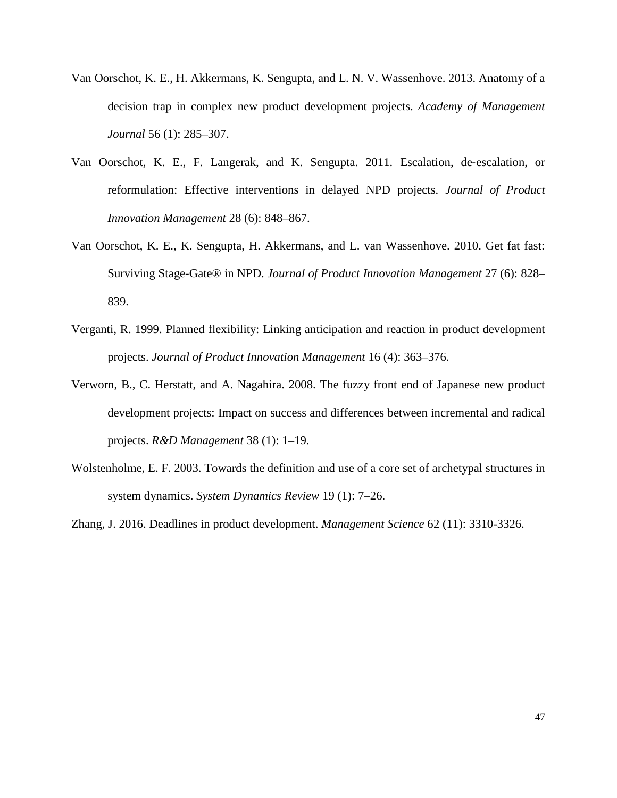- Van Oorschot, K. E., H. Akkermans, K. Sengupta, and L. N. V. Wassenhove. 2013. Anatomy of a decision trap in complex new product development projects. *Academy of Management Journal* 56 (1): 285–307.
- Van Oorschot, K. E., F. Langerak, and K. Sengupta. 2011. Escalation, de‐escalation, or reformulation: Effective interventions in delayed NPD projects. *Journal of Product Innovation Management* 28 (6): 848–867.
- Van Oorschot, K. E., K. Sengupta, H. Akkermans, and L. van Wassenhove. 2010. Get fat fast: Surviving Stage-Gate® in NPD. *Journal of Product Innovation Management* 27 (6): 828– 839.
- Verganti, R. 1999. Planned flexibility: Linking anticipation and reaction in product development projects. *Journal of Product Innovation Management* 16 (4): 363–376.
- Verworn, B., C. Herstatt, and A. Nagahira. 2008. The fuzzy front end of Japanese new product development projects: Impact on success and differences between incremental and radical projects. *R&D Management* 38 (1): 1–19.
- Wolstenholme, E. F. 2003. Towards the definition and use of a core set of archetypal structures in system dynamics. *System Dynamics Review* 19 (1): 7–26.

Zhang, J. 2016. Deadlines in product development. *Management Science* 62 (11): 3310-3326.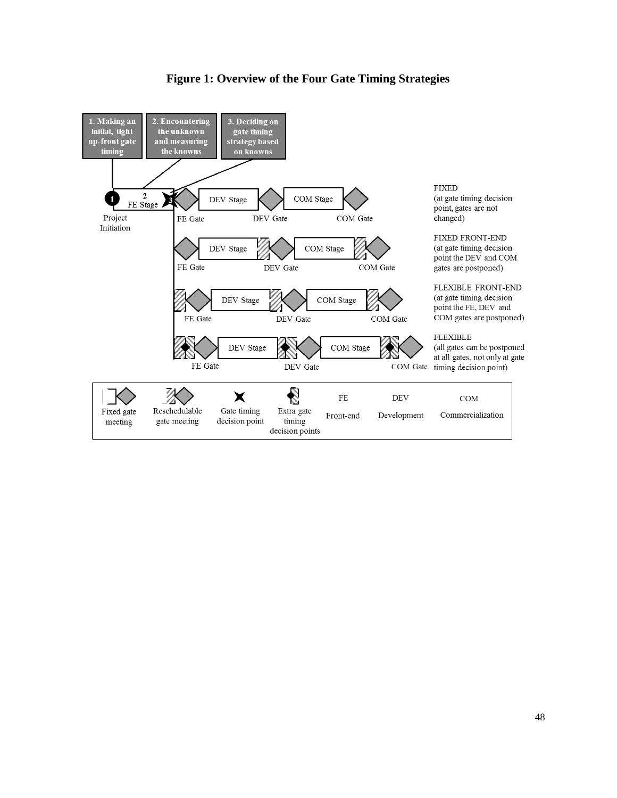

# **Figure 1: Overview of the Four Gate Timing Strategies**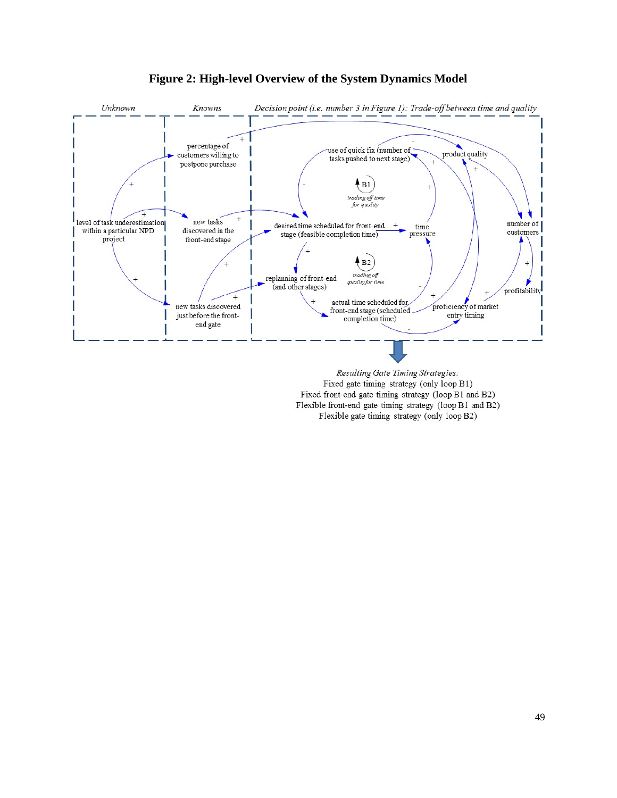

# **Figure 2: High-level Overview of the System Dynamics Model**

Fixed gate timing strategy (only loop B1) Fixed front-end gate timing strategy (loop B1 and B2) Flexible front-end gate timing strategy (loop B1 and B2) Flexible gate timing strategy (only loop B2)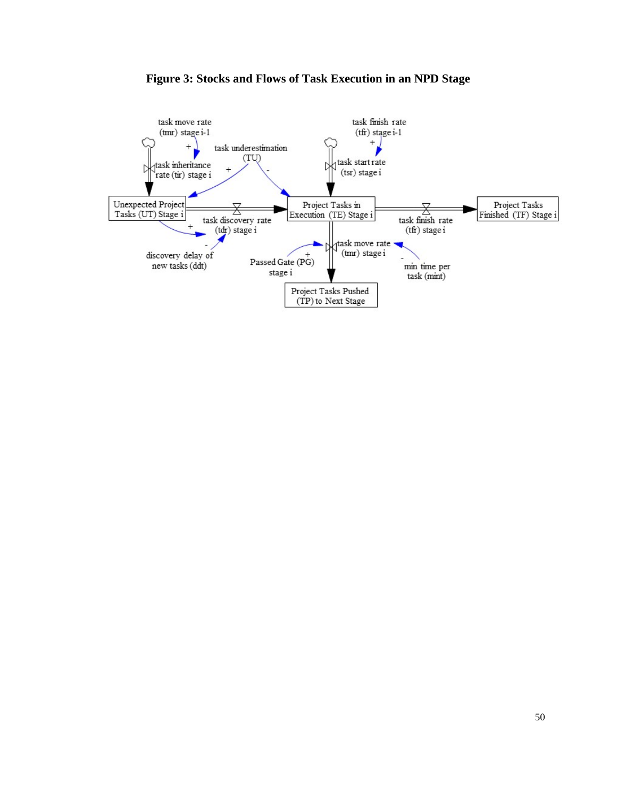

## **Figure 3: Stocks and Flows of Task Execution in an NPD Stage**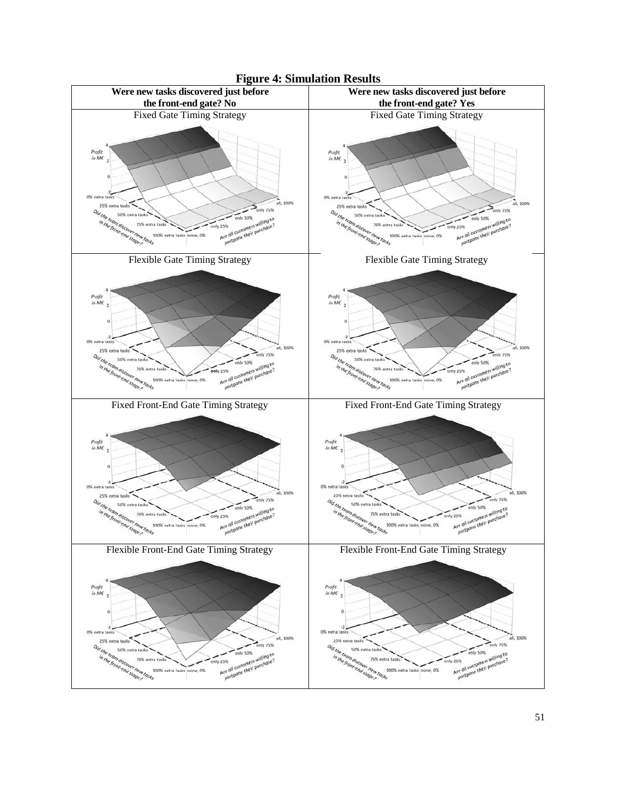

**Figure 4: Simulation Results**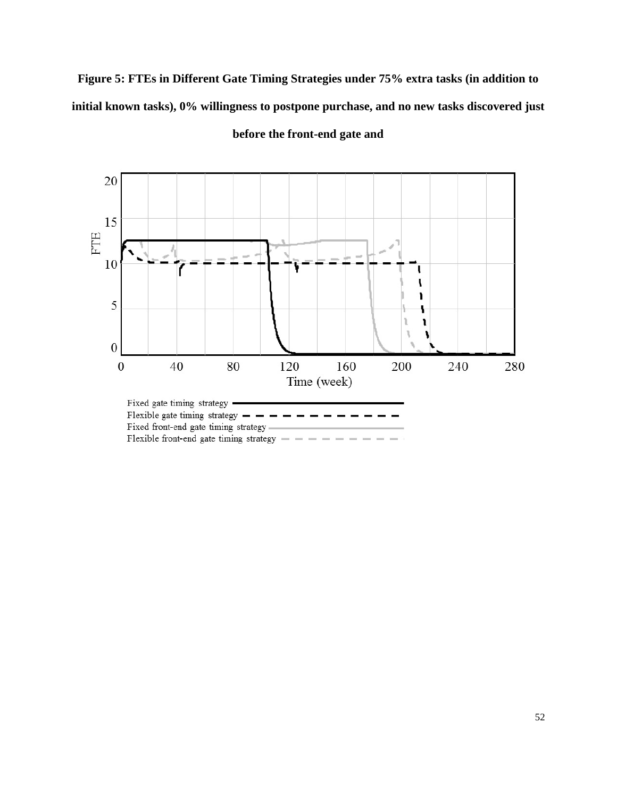**Figure 5: FTEs in Different Gate Timing Strategies under 75% extra tasks (in addition to initial known tasks), 0% willingness to postpone purchase, and no new tasks discovered just** 



**before the front-end gate and**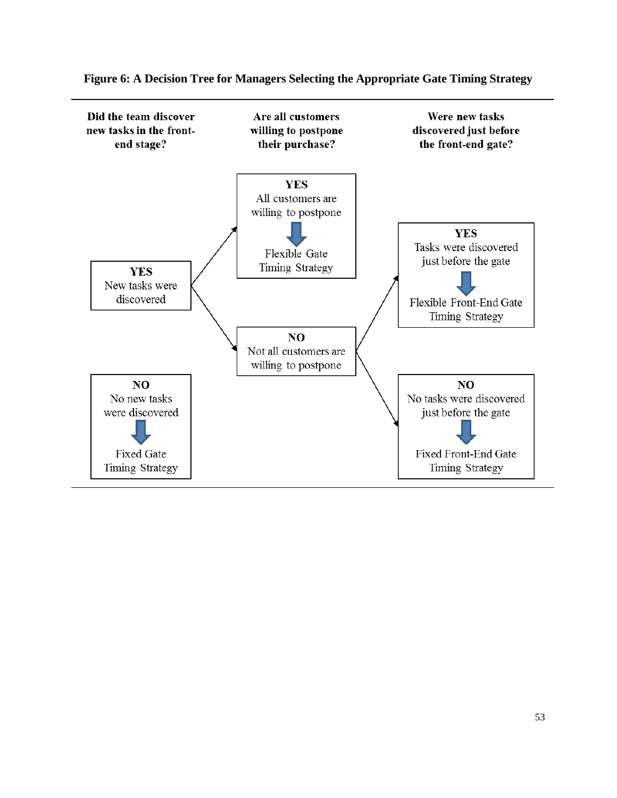

**Figure 6: A Decision Tree for Managers Selecting the Appropriate Gate Timing Strategy**